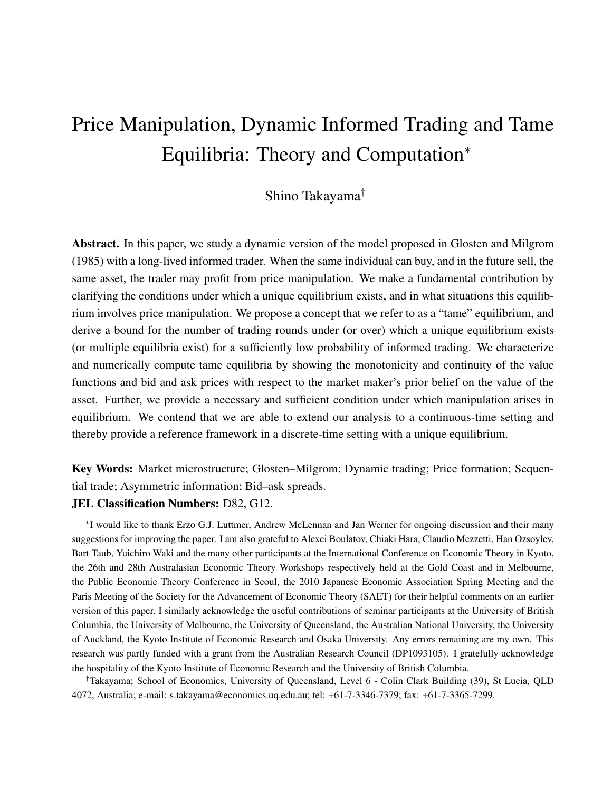# Price Manipulation, Dynamic Informed Trading and Tame Equilibria: Theory and Computation<sup>∗</sup>

### Shino Takayama†

Abstract. In this paper, we study a dynamic version of the model proposed in Glosten and Milgrom (1985) with a long-lived informed trader. When the same individual can buy, and in the future sell, the same asset, the trader may profit from price manipulation. We make a fundamental contribution by clarifying the conditions under which a unique equilibrium exists, and in what situations this equilibrium involves price manipulation. We propose a concept that we refer to as a "tame" equilibrium, and derive a bound for the number of trading rounds under (or over) which a unique equilibrium exists (or multiple equilibria exist) for a sufficiently low probability of informed trading. We characterize and numerically compute tame equilibria by showing the monotonicity and continuity of the value functions and bid and ask prices with respect to the market maker's prior belief on the value of the asset. Further, we provide a necessary and sufficient condition under which manipulation arises in equilibrium. We contend that we are able to extend our analysis to a continuous-time setting and thereby provide a reference framework in a discrete-time setting with a unique equilibrium.

Key Words: Market microstructure; Glosten–Milgrom; Dynamic trading; Price formation; Sequential trade; Asymmetric information; Bid–ask spreads.

#### JEL Classification Numbers: D82, G12.

†Takayama; School of Economics, University of Queensland, Level 6 - Colin Clark Building (39), St Lucia, QLD 4072, Australia; e-mail: s.takayama@economics.uq.edu.au; tel: +61-7-3346-7379; fax: +61-7-3365-7299.

<sup>∗</sup> I would like to thank Erzo G.J. Luttmer, Andrew McLennan and Jan Werner for ongoing discussion and their many suggestions for improving the paper. I am also grateful to Alexei Boulatov, Chiaki Hara, Claudio Mezzetti, Han Ozsoylev, Bart Taub, Yuichiro Waki and the many other participants at the International Conference on Economic Theory in Kyoto, the 26th and 28th Australasian Economic Theory Workshops respectively held at the Gold Coast and in Melbourne, the Public Economic Theory Conference in Seoul, the 2010 Japanese Economic Association Spring Meeting and the Paris Meeting of the Society for the Advancement of Economic Theory (SAET) for their helpful comments on an earlier version of this paper. I similarly acknowledge the useful contributions of seminar participants at the University of British Columbia, the University of Melbourne, the University of Queensland, the Australian National University, the University of Auckland, the Kyoto Institute of Economic Research and Osaka University. Any errors remaining are my own. This research was partly funded with a grant from the Australian Research Council (DP1093105). I gratefully acknowledge the hospitality of the Kyoto Institute of Economic Research and the University of British Columbia.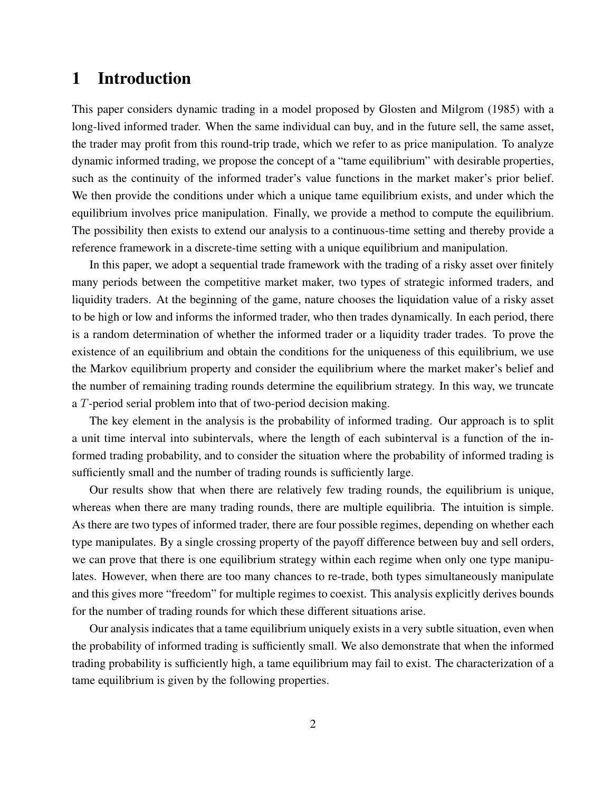## 1 Introduction

This paper considers dynamic trading in a model proposed by Glosten and Milgrom (1985) with a long-lived informed trader. When the same individual can buy, and in the future sell, the same asset, the trader may profit from this round-trip trade, which we refer to as price manipulation. To analyze dynamic informed trading, we propose the concept of a "tame equilibrium" with desirable properties, such as the continuity of the informed trader's value functions in the market maker's prior belief. We then provide the conditions under which a unique tame equilibrium exists, and under which the equilibrium involves price manipulation. Finally, we provide a method to compute the equilibrium. The possibility then exists to extend our analysis to a continuous-time setting and thereby provide a reference framework in a discrete-time setting with a unique equilibrium and manipulation.

In this paper, we adopt a sequential trade framework with the trading of a risky asset over finitely many periods between the competitive market maker, two types of strategic informed traders, and liquidity traders. At the beginning of the game, nature chooses the liquidation value of a risky asset to be high or low and informs the informed trader, who then trades dynamically. In each period, there is a random determination of whether the informed trader or a liquidity trader trades. To prove the existence of an equilibrium and obtain the conditions for the uniqueness of this equilibrium, we use the Markov equilibrium property and consider the equilibrium where the market maker's belief and the number of remaining trading rounds determine the equilibrium strategy. In this way, we truncate a T-period serial problem into that of two-period decision making.

The key element in the analysis is the probability of informed trading. Our approach is to split a unit time interval into subintervals, where the length of each subinterval is a function of the informed trading probability, and to consider the situation where the probability of informed trading is sufficiently small and the number of trading rounds is sufficiently large.

Our results show that when there are relatively few trading rounds, the equilibrium is unique, whereas when there are many trading rounds, there are multiple equilibria. The intuition is simple. As there are two types of informed trader, there are four possible regimes, depending on whether each type manipulates. By a single crossing property of the payoff difference between buy and sell orders, we can prove that there is one equilibrium strategy within each regime when only one type manipulates. However, when there are too many chances to re-trade, both types simultaneously manipulate and this gives more "freedom" for multiple regimes to coexist. This analysis explicitly derives bounds for the number of trading rounds for which these different situations arise.

Our analysis indicates that a tame equilibrium uniquely exists in a very subtle situation, even when the probability of informed trading is sufficiently small. We also demonstrate that when the informed trading probability is sufficiently high, a tame equilibrium may fail to exist. The characterization of a tame equilibrium is given by the following properties.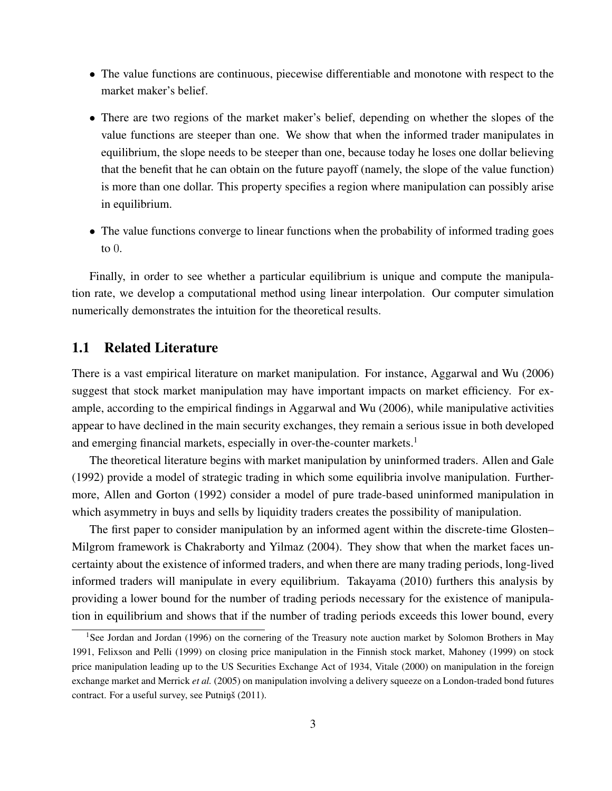- The value functions are continuous, piecewise differentiable and monotone with respect to the market maker's belief.
- There are two regions of the market maker's belief, depending on whether the slopes of the value functions are steeper than one. We show that when the informed trader manipulates in equilibrium, the slope needs to be steeper than one, because today he loses one dollar believing that the benefit that he can obtain on the future payoff (namely, the slope of the value function) is more than one dollar. This property specifies a region where manipulation can possibly arise in equilibrium.
- The value functions converge to linear functions when the probability of informed trading goes to 0.

Finally, in order to see whether a particular equilibrium is unique and compute the manipulation rate, we develop a computational method using linear interpolation. Our computer simulation numerically demonstrates the intuition for the theoretical results.

### 1.1 Related Literature

There is a vast empirical literature on market manipulation. For instance, Aggarwal and Wu (2006) suggest that stock market manipulation may have important impacts on market efficiency. For example, according to the empirical findings in Aggarwal and Wu (2006), while manipulative activities appear to have declined in the main security exchanges, they remain a serious issue in both developed and emerging financial markets, especially in over-the-counter markets.<sup>1</sup>

The theoretical literature begins with market manipulation by uninformed traders. Allen and Gale (1992) provide a model of strategic trading in which some equilibria involve manipulation. Furthermore, Allen and Gorton (1992) consider a model of pure trade-based uninformed manipulation in which asymmetry in buys and sells by liquidity traders creates the possibility of manipulation.

The first paper to consider manipulation by an informed agent within the discrete-time Glosten– Milgrom framework is Chakraborty and Yilmaz (2004). They show that when the market faces uncertainty about the existence of informed traders, and when there are many trading periods, long-lived informed traders will manipulate in every equilibrium. Takayama (2010) furthers this analysis by providing a lower bound for the number of trading periods necessary for the existence of manipulation in equilibrium and shows that if the number of trading periods exceeds this lower bound, every

<sup>&</sup>lt;sup>1</sup>See Jordan and Jordan (1996) on the cornering of the Treasury note auction market by Solomon Brothers in May 1991, Felixson and Pelli (1999) on closing price manipulation in the Finnish stock market, Mahoney (1999) on stock price manipulation leading up to the US Securities Exchange Act of 1934, Vitale (2000) on manipulation in the foreign exchange market and Merrick *et al.* (2005) on manipulation involving a delivery squeeze on a London-traded bond futures contract. For a useful survey, see Putninš (2011).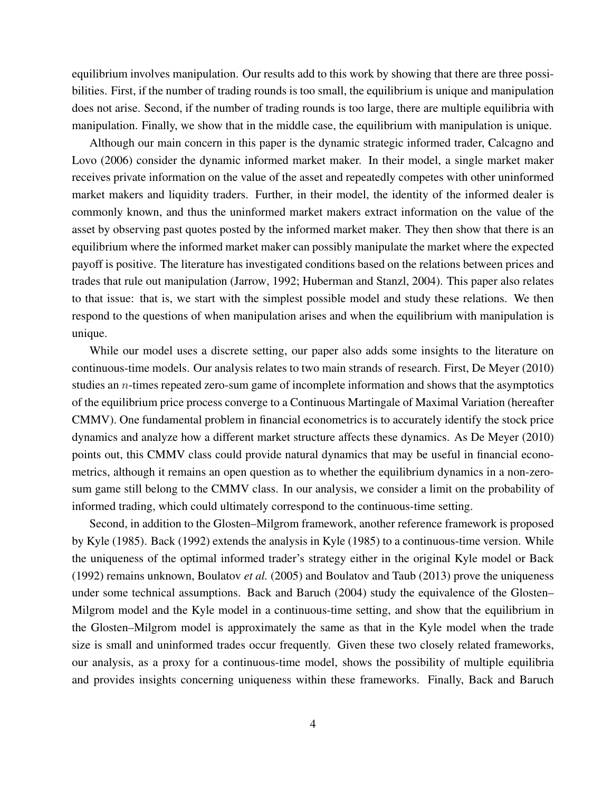equilibrium involves manipulation. Our results add to this work by showing that there are three possibilities. First, if the number of trading rounds is too small, the equilibrium is unique and manipulation does not arise. Second, if the number of trading rounds is too large, there are multiple equilibria with manipulation. Finally, we show that in the middle case, the equilibrium with manipulation is unique.

Although our main concern in this paper is the dynamic strategic informed trader, Calcagno and Lovo (2006) consider the dynamic informed market maker. In their model, a single market maker receives private information on the value of the asset and repeatedly competes with other uninformed market makers and liquidity traders. Further, in their model, the identity of the informed dealer is commonly known, and thus the uninformed market makers extract information on the value of the asset by observing past quotes posted by the informed market maker. They then show that there is an equilibrium where the informed market maker can possibly manipulate the market where the expected payoff is positive. The literature has investigated conditions based on the relations between prices and trades that rule out manipulation (Jarrow, 1992; Huberman and Stanzl, 2004). This paper also relates to that issue: that is, we start with the simplest possible model and study these relations. We then respond to the questions of when manipulation arises and when the equilibrium with manipulation is unique.

While our model uses a discrete setting, our paper also adds some insights to the literature on continuous-time models. Our analysis relates to two main strands of research. First, De Meyer (2010) studies an n-times repeated zero-sum game of incomplete information and shows that the asymptotics of the equilibrium price process converge to a Continuous Martingale of Maximal Variation (hereafter CMMV). One fundamental problem in financial econometrics is to accurately identify the stock price dynamics and analyze how a different market structure affects these dynamics. As De Meyer (2010) points out, this CMMV class could provide natural dynamics that may be useful in financial econometrics, although it remains an open question as to whether the equilibrium dynamics in a non-zerosum game still belong to the CMMV class. In our analysis, we consider a limit on the probability of informed trading, which could ultimately correspond to the continuous-time setting.

Second, in addition to the Glosten–Milgrom framework, another reference framework is proposed by Kyle (1985). Back (1992) extends the analysis in Kyle (1985) to a continuous-time version. While the uniqueness of the optimal informed trader's strategy either in the original Kyle model or Back (1992) remains unknown, Boulatov *et al.* (2005) and Boulatov and Taub (2013) prove the uniqueness under some technical assumptions. Back and Baruch (2004) study the equivalence of the Glosten– Milgrom model and the Kyle model in a continuous-time setting, and show that the equilibrium in the Glosten–Milgrom model is approximately the same as that in the Kyle model when the trade size is small and uninformed trades occur frequently. Given these two closely related frameworks, our analysis, as a proxy for a continuous-time model, shows the possibility of multiple equilibria and provides insights concerning uniqueness within these frameworks. Finally, Back and Baruch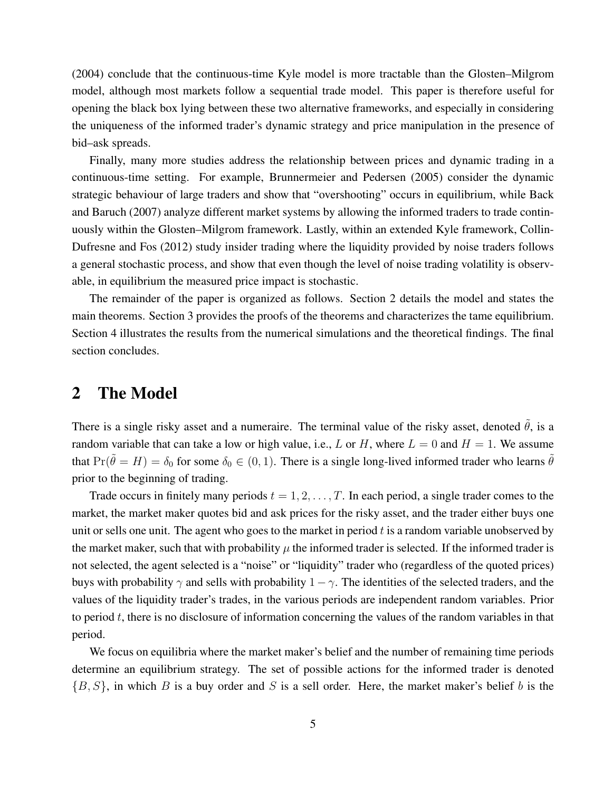(2004) conclude that the continuous-time Kyle model is more tractable than the Glosten–Milgrom model, although most markets follow a sequential trade model. This paper is therefore useful for opening the black box lying between these two alternative frameworks, and especially in considering the uniqueness of the informed trader's dynamic strategy and price manipulation in the presence of bid–ask spreads.

Finally, many more studies address the relationship between prices and dynamic trading in a continuous-time setting. For example, Brunnermeier and Pedersen (2005) consider the dynamic strategic behaviour of large traders and show that "overshooting" occurs in equilibrium, while Back and Baruch (2007) analyze different market systems by allowing the informed traders to trade continuously within the Glosten–Milgrom framework. Lastly, within an extended Kyle framework, Collin-Dufresne and Fos (2012) study insider trading where the liquidity provided by noise traders follows a general stochastic process, and show that even though the level of noise trading volatility is observable, in equilibrium the measured price impact is stochastic.

The remainder of the paper is organized as follows. Section 2 details the model and states the main theorems. Section 3 provides the proofs of the theorems and characterizes the tame equilibrium. Section 4 illustrates the results from the numerical simulations and the theoretical findings. The final section concludes.

### 2 The Model

There is a single risky asset and a numeraire. The terminal value of the risky asset, denoted  $\hat{\theta}$ , is a random variable that can take a low or high value, i.e., L or H, where  $L = 0$  and  $H = 1$ . We assume that  $Pr(\tilde{\theta} = H) = \delta_0$  for some  $\delta_0 \in (0, 1)$ . There is a single long-lived informed trader who learns  $\tilde{\theta}$ prior to the beginning of trading.

Trade occurs in finitely many periods  $t = 1, 2, \ldots, T$ . In each period, a single trader comes to the market, the market maker quotes bid and ask prices for the risky asset, and the trader either buys one unit or sells one unit. The agent who goes to the market in period  $t$  is a random variable unobserved by the market maker, such that with probability  $\mu$  the informed trader is selected. If the informed trader is not selected, the agent selected is a "noise" or "liquidity" trader who (regardless of the quoted prices) buys with probability  $\gamma$  and sells with probability  $1 - \gamma$ . The identities of the selected traders, and the values of the liquidity trader's trades, in the various periods are independent random variables. Prior to period  $t$ , there is no disclosure of information concerning the values of the random variables in that period.

We focus on equilibria where the market maker's belief and the number of remaining time periods determine an equilibrium strategy. The set of possible actions for the informed trader is denoted  ${B, S}$ , in which B is a buy order and S is a sell order. Here, the market maker's belief b is the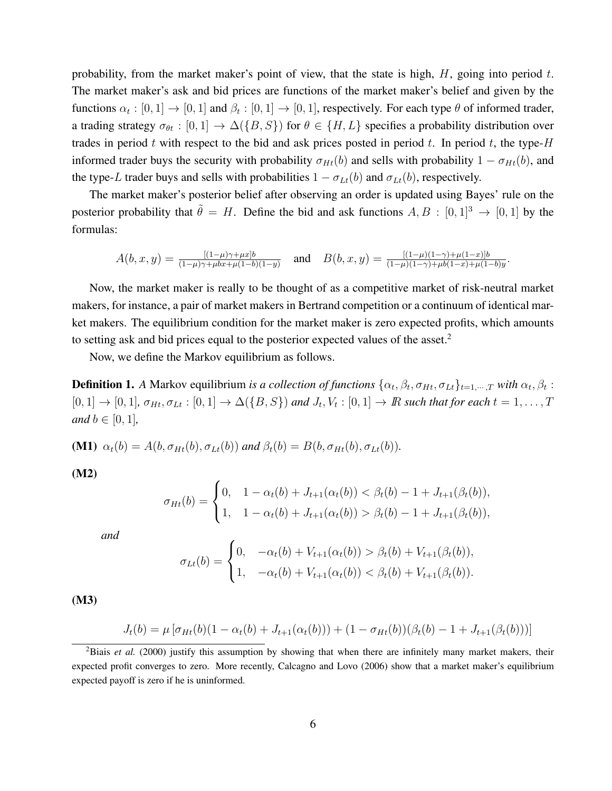probability, from the market maker's point of view, that the state is high,  $H$ , going into period t. The market maker's ask and bid prices are functions of the market maker's belief and given by the functions  $\alpha_t : [0,1] \to [0,1]$  and  $\beta_t : [0,1] \to [0,1]$ , respectively. For each type  $\theta$  of informed trader, a trading strategy  $\sigma_{\theta t} : [0, 1] \to \Delta({B, S})$  for  $\theta \in {H, L}$  specifies a probability distribution over trades in period t with respect to the bid and ask prices posted in period t. In period t, the type- $H$ informed trader buys the security with probability  $\sigma_{Ht}(b)$  and sells with probability  $1 - \sigma_{Ht}(b)$ , and the type-L trader buys and sells with probabilities  $1 - \sigma_{Lt}(b)$  and  $\sigma_{Lt}(b)$ , respectively.

The market maker's posterior belief after observing an order is updated using Bayes' rule on the posterior probability that  $\tilde{\theta} = H$ . Define the bid and ask functions  $A, B : [0, 1]^3 \rightarrow [0, 1]$  by the formulas:

$$
A(b,x,y) = \frac{[(1-\mu)\gamma + \mu x]b}{(1-\mu)\gamma + \mu bx + \mu(1-b)(1-y)} \quad \text{and} \quad B(b,x,y) = \frac{[(1-\mu)(1-\gamma) + \mu(1-x)]b}{(1-\mu)(1-\gamma) + \mu b(1-x) + \mu(1-b)y}.
$$

Now, the market maker is really to be thought of as a competitive market of risk-neutral market makers, for instance, a pair of market makers in Bertrand competition or a continuum of identical market makers. The equilibrium condition for the market maker is zero expected profits, which amounts to setting ask and bid prices equal to the posterior expected values of the asset.<sup>2</sup>

Now, we define the Markov equilibrium as follows.

**Definition 1.** A Markov equilibrium *is a collection of functions*  $\{\alpha_t, \beta_t, \sigma_{Ht}, \sigma_{Lt}\}_{t=1,\dots,T}$  *with*  $\alpha_t, \beta_t$ :  $[0,1] \to [0,1]$ ,  $\sigma_{Ht}, \sigma_{Lt} : [0,1] \to \Delta(\{B,S\})$  and  $J_t, V_t : [0,1] \to I$ R such that for each  $t = 1, \ldots, T$ *and*  $b \in [0, 1]$ *,* 

(M1)  $\alpha_t(b) = A(b, \sigma_{Ht}(b), \sigma_{Lt}(b))$  *and*  $\beta_t(b) = B(b, \sigma_{Ht}(b), \sigma_{Lt}(b))$ *.* 

(M2)

$$
\sigma_{Ht}(b) = \begin{cases} 0, & 1 - \alpha_t(b) + J_{t+1}(\alpha_t(b)) < \beta_t(b) - 1 + J_{t+1}(\beta_t(b)), \\ 1, & 1 - \alpha_t(b) + J_{t+1}(\alpha_t(b)) > \beta_t(b) - 1 + J_{t+1}(\beta_t(b)), \end{cases}
$$

*and*

$$
\sigma_{Lt}(b) = \begin{cases} 0, & -\alpha_t(b) + V_{t+1}(\alpha_t(b)) > \beta_t(b) + V_{t+1}(\beta_t(b)), \\ 1, & -\alpha_t(b) + V_{t+1}(\alpha_t(b)) < \beta_t(b) + V_{t+1}(\beta_t(b)). \end{cases}
$$

(M3)

$$
J_t(b) = \mu \left[ \sigma_{Ht}(b)(1 - \alpha_t(b) + J_{t+1}(\alpha_t(b))) + (1 - \sigma_{Ht}(b))(\beta_t(b) - 1 + J_{t+1}(\beta_t(b))) \right]
$$

<sup>&</sup>lt;sup>2</sup>Biais *et al.* (2000) justify this assumption by showing that when there are infinitely many market makers, their expected profit converges to zero. More recently, Calcagno and Lovo (2006) show that a market maker's equilibrium expected payoff is zero if he is uninformed.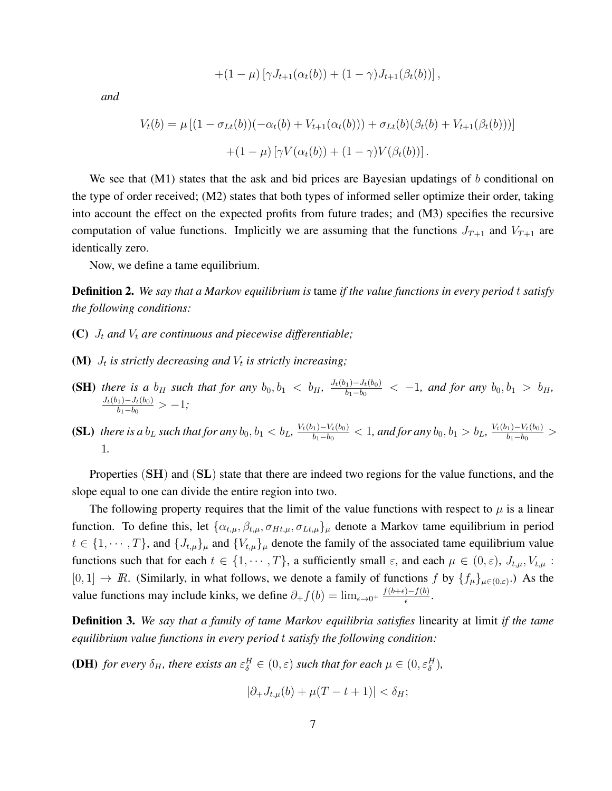$$
+(1-\mu)[\gamma J_{t+1}(\alpha_t(b)) + (1-\gamma)J_{t+1}(\beta_t(b))],
$$

*and*

$$
V_t(b) = \mu \left[ (1 - \sigma_{Lt}(b))(-\alpha_t(b) + V_{t+1}(\alpha_t(b))) + \sigma_{Lt}(b)(\beta_t(b) + V_{t+1}(\beta_t(b))) \right] + (1 - \mu) \left[ \gamma V(\alpha_t(b)) + (1 - \gamma)V(\beta_t(b)) \right].
$$

We see that  $(M1)$  states that the ask and bid prices are Bayesian updatings of b conditional on the type of order received; (M2) states that both types of informed seller optimize their order, taking into account the effect on the expected profits from future trades; and (M3) specifies the recursive computation of value functions. Implicitly we are assuming that the functions  $J_{T+1}$  and  $V_{T+1}$  are identically zero.

Now, we define a tame equilibrium.

Definition 2. *We say that a Markov equilibrium is* tame *if the value functions in every period* t *satisfy the following conditions:*

- (C)  $J_t$  and  $V_t$  are continuous and piecewise differentiable;
- **(M)**  $J_t$  is strictly decreasing and  $V_t$  is strictly increasing;
- **(SH)** there is a  $b_H$  such that for any  $b_0, b_1 < b_H$ ,  $\frac{J_t(b_1)-J_t(b_0)}{b_1-b_0}$  $\frac{b_1 - b_1(b_0)}{b_1 - b_0}$  < -1, and for any  $b_0, b_1 > b_H$ ,  $J_t(b_1) - J_t(b_0)$  $\frac{b_1-J_t(b_0)}{b_1-b_0} > -1;$
- (SL) *there is a*  $b_L$  *such that for any*  $b_0$ ,  $b_1 < b_L$ ,  $\frac{V_t(b_1) V_t(b_0)}{b_1 b_0}$  $\frac{b_1-b_0}{b_1-b_0}$  < 1, and for any  $b_0, b_1 > b_L$ ,  $\frac{V_t(b_1)-V_t(b_0)}{b_1-b_0}$  $\frac{b_1-b_0}{b_1-b_0}$  > 1*.*

Properties  $(SH)$  and  $(SL)$  state that there are indeed two regions for the value functions, and the slope equal to one can divide the entire region into two.

The following property requires that the limit of the value functions with respect to  $\mu$  is a linear function. To define this, let  $\{\alpha_{t,\mu}, \beta_{t,\mu}, \sigma_{Ht,\mu}, \sigma_{Lt,\mu}\}\$ <sub>μ</sub> denote a Markov tame equilibrium in period  $t \in \{1, \dots, T\}$ , and  $\{J_{t,\mu}\}_\mu$  and  $\{V_{t,\mu}\}_\mu$  denote the family of the associated tame equilibrium value functions such that for each  $t \in \{1, \dots, T\}$ , a sufficiently small  $\varepsilon$ , and each  $\mu \in (0, \varepsilon)$ ,  $J_{t,\mu}$ ,  $V_{t,\mu}$ :  $[0, 1] \to \mathbb{R}$ . (Similarly, in what follows, we denote a family of functions f by  $\{f_\mu\}_{\mu \in (0,\varepsilon)}$ .) As the value functions may include kinks, we define  $\partial_{+} f(b) = \lim_{\epsilon \to 0^{+}} \frac{f(b+\epsilon)-f(b)}{\epsilon}$  $\frac{(-f(b))}{\epsilon}$ .

Definition 3. *We say that a family of tame Markov equilibria satisfies* linearity at limit *if the tame equilibrium value functions in every period* t *satisfy the following condition:*

**(DH)** *for every*  $\delta_H$ *, there exists an*  $\varepsilon_{\delta}^H \in (0,\varepsilon)$  *such that for each*  $\mu \in (0,\varepsilon_{\delta}^H)$ *,* 

$$
|\partial_+J_{t,\mu}(b)+\mu(T-t+1)|<\delta_H;
$$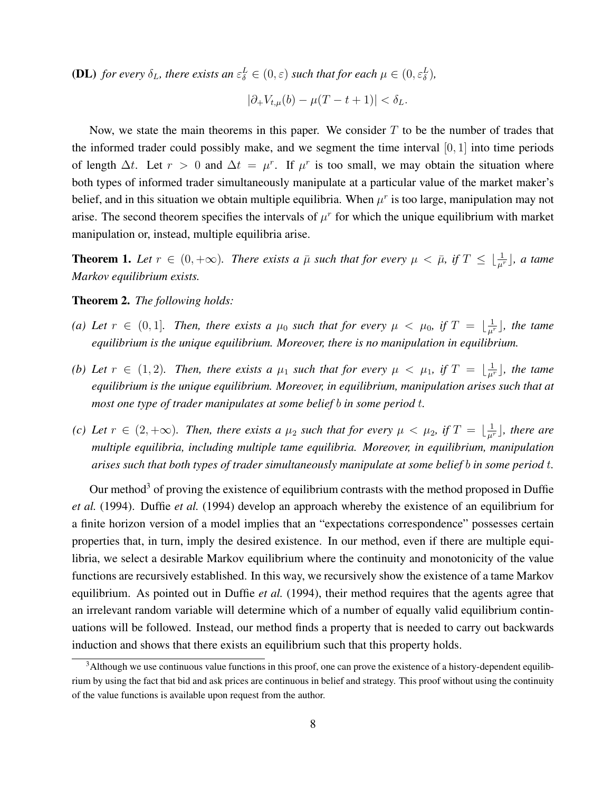**(DL)** for every  $\delta_L$ , there exists an  $\varepsilon_{\delta}^L \in (0, \varepsilon)$  such that for each  $\mu \in (0, \varepsilon_{\delta}^L)$ ,

$$
|\partial_+V_{t,\mu}(b)-\mu(T-t+1)|<\delta_L.
$$

Now, we state the main theorems in this paper. We consider  $T$  to be the number of trades that the informed trader could possibly make, and we segment the time interval  $[0, 1]$  into time periods of length  $\Delta t$ . Let  $r > 0$  and  $\Delta t = \mu^r$ . If  $\mu^r$  is too small, we may obtain the situation where both types of informed trader simultaneously manipulate at a particular value of the market maker's belief, and in this situation we obtain multiple equilibria. When  $\mu^r$  is too large, manipulation may not arise. The second theorem specifies the intervals of  $\mu^r$  for which the unique equilibrium with market manipulation or, instead, multiple equilibria arise.

**Theorem 1.** Let  $r \in (0, +\infty)$ . There exists a  $\bar{\mu}$  such that for every  $\mu < \bar{\mu}$ , if  $T \leq \lfloor \frac{1}{\mu^r} \rfloor$ , a tame *Markov equilibrium exists.*

Theorem 2. *The following holds:*

- *(a)* Let  $r \in (0,1]$ . Then, there exists a  $\mu_0$  such that for every  $\mu < \mu_0$ , if  $T = \lfloor \frac{1}{\mu^r} \rfloor$ , the tame *equilibrium is the unique equilibrium. Moreover, there is no manipulation in equilibrium.*
- *(b)* Let  $r \in (1, 2)$ . Then, there exists a  $\mu_1$  such that for every  $\mu < \mu_1$ , if  $T = \lfloor \frac{1}{\mu^r} \rfloor$ , the tame *equilibrium is the unique equilibrium. Moreover, in equilibrium, manipulation arises such that at most one type of trader manipulates at some belief* b *in some period* t*.*
- *(c)* Let  $r \in (2, +\infty)$ . Then, there exists a  $\mu_2$  such that for every  $\mu < \mu_2$ , if  $T = \lfloor \frac{1}{\mu^r} \rfloor$ , there are *multiple equilibria, including multiple tame equilibria. Moreover, in equilibrium, manipulation arises such that both types of trader simultaneously manipulate at some belief* b *in some period* t*.*

Our method<sup>3</sup> of proving the existence of equilibrium contrasts with the method proposed in Duffie *et al.* (1994). Duffie *et al.* (1994) develop an approach whereby the existence of an equilibrium for a finite horizon version of a model implies that an "expectations correspondence" possesses certain properties that, in turn, imply the desired existence. In our method, even if there are multiple equilibria, we select a desirable Markov equilibrium where the continuity and monotonicity of the value functions are recursively established. In this way, we recursively show the existence of a tame Markov equilibrium. As pointed out in Duffie *et al.* (1994), their method requires that the agents agree that an irrelevant random variable will determine which of a number of equally valid equilibrium continuations will be followed. Instead, our method finds a property that is needed to carry out backwards induction and shows that there exists an equilibrium such that this property holds.

<sup>&</sup>lt;sup>3</sup>Although we use continuous value functions in this proof, one can prove the existence of a history-dependent equilibrium by using the fact that bid and ask prices are continuous in belief and strategy. This proof without using the continuity of the value functions is available upon request from the author.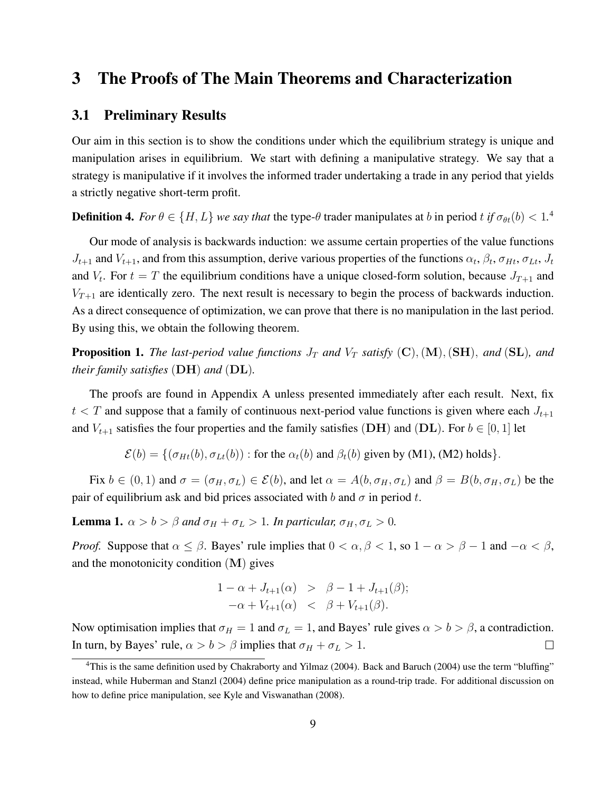### 3 The Proofs of The Main Theorems and Characterization

#### 3.1 Preliminary Results

Our aim in this section is to show the conditions under which the equilibrium strategy is unique and manipulation arises in equilibrium. We start with defining a manipulative strategy. We say that a strategy is manipulative if it involves the informed trader undertaking a trade in any period that yields a strictly negative short-term profit.

**Definition 4.** *For*  $\theta \in \{H, L\}$  *we say that* the type- $\theta$  trader manipulates at b in period t if  $\sigma_{\theta t}(b) < 1$ .<sup>4</sup>

Our mode of analysis is backwards induction: we assume certain properties of the value functions  $J_{t+1}$  and  $V_{t+1}$ , and from this assumption, derive various properties of the functions  $\alpha_t$ ,  $\beta_t$ ,  $\sigma_{Ht}$ ,  $\sigma_{Lt}$ ,  $J_t$ and  $V_t$ . For  $t = T$  the equilibrium conditions have a unique closed-form solution, because  $J_{T+1}$  and  $V_{T+1}$  are identically zero. The next result is necessary to begin the process of backwards induction. As a direct consequence of optimization, we can prove that there is no manipulation in the last period. By using this, we obtain the following theorem.

**Proposition 1.** *The last-period value functions*  $J_T$  *and*  $V_T$  *satisfy* (C), (M), (SH), *and* (SL)*, and their family satisfies* (DH) *and* (DL)*.*

The proofs are found in Appendix A unless presented immediately after each result. Next, fix  $t < T$  and suppose that a family of continuous next-period value functions is given where each  $J_{t+1}$ and  $V_{t+1}$  satisfies the four properties and the family satisfies (DH) and (DL). For  $b \in [0, 1]$  let

 $\mathcal{E}(b) = \{(\sigma_{Ht}(b), \sigma_{Lt}(b)) : \text{for the } \alpha_t(b) \text{ and } \beta_t(b) \text{ given by (M1), (M2) holds}\}.$ 

Fix  $b \in (0, 1)$  and  $\sigma = (\sigma_H, \sigma_L) \in \mathcal{E}(b)$ , and let  $\alpha = A(b, \sigma_H, \sigma_L)$  and  $\beta = B(b, \sigma_H, \sigma_L)$  be the pair of equilibrium ask and bid prices associated with b and  $\sigma$  in period t.

**Lemma 1.**  $\alpha > b > \beta$  *and*  $\sigma_H + \sigma_L > 1$ *. In particular,*  $\sigma_H, \sigma_L > 0$ *.* 

*Proof.* Suppose that  $\alpha \leq \beta$ . Bayes' rule implies that  $0 < \alpha, \beta < 1$ , so  $1 - \alpha > \beta - 1$  and  $-\alpha < \beta$ , and the monotonicity condition  $(M)$  gives

$$
\begin{array}{rcl}\n1 - \alpha + J_{t+1}(\alpha) > \ \beta - 1 + J_{t+1}(\beta); \\
-\alpha + V_{t+1}(\alpha) < \ \beta + V_{t+1}(\beta).\n\end{array}
$$

Now optimisation implies that  $\sigma_H = 1$  and  $\sigma_L = 1$ , and Bayes' rule gives  $\alpha > b > \beta$ , a contradiction. In turn, by Bayes' rule,  $\alpha > b > \beta$  implies that  $\sigma_H + \sigma_L > 1$ .  $\Box$ 

<sup>&</sup>lt;sup>4</sup>This is the same definition used by Chakraborty and Yilmaz (2004). Back and Baruch (2004) use the term "bluffing" instead, while Huberman and Stanzl (2004) define price manipulation as a round-trip trade. For additional discussion on how to define price manipulation, see Kyle and Viswanathan (2008).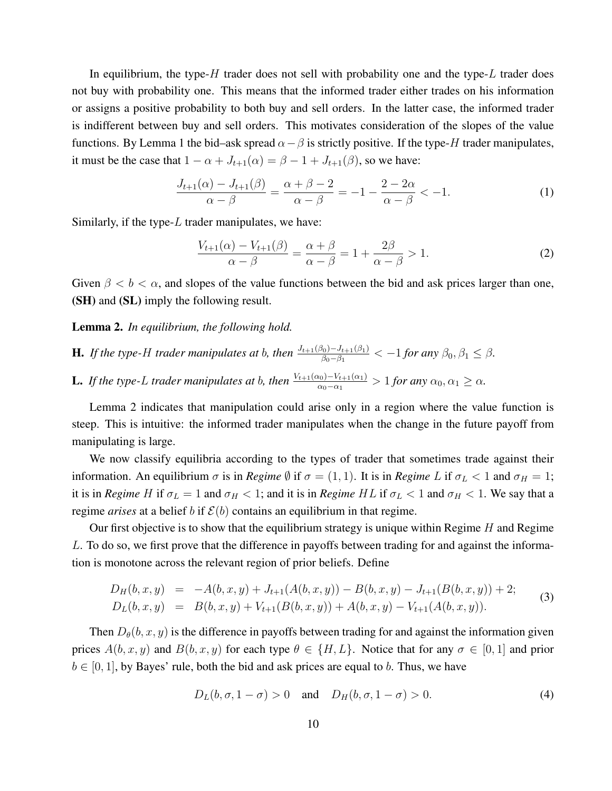In equilibrium, the type-H trader does not sell with probability one and the type-L trader does not buy with probability one. This means that the informed trader either trades on his information or assigns a positive probability to both buy and sell orders. In the latter case, the informed trader is indifferent between buy and sell orders. This motivates consideration of the slopes of the value functions. By Lemma 1 the bid–ask spread  $\alpha-\beta$  is strictly positive. If the type-H trader manipulates, it must be the case that  $1 - \alpha + J_{t+1}(\alpha) = \beta - 1 + J_{t+1}(\beta)$ , so we have:

$$
\frac{J_{t+1}(\alpha) - J_{t+1}(\beta)}{\alpha - \beta} = \frac{\alpha + \beta - 2}{\alpha - \beta} = -1 - \frac{2 - 2\alpha}{\alpha - \beta} < -1.
$$
 (1)

Similarly, if the type- $L$  trader manipulates, we have:

$$
\frac{V_{t+1}(\alpha) - V_{t+1}(\beta)}{\alpha - \beta} = \frac{\alpha + \beta}{\alpha - \beta} = 1 + \frac{2\beta}{\alpha - \beta} > 1.
$$
 (2)

Given  $\beta < b < \alpha$ , and slopes of the value functions between the bid and ask prices larger than one, (SH) and (SL) imply the following result.

#### Lemma 2. *In equilibrium, the following hold.*

- **H.** If the type-H trader manipulates at b, then  $\frac{J_{t+1}(\beta_0) J_{t+1}(\beta_1)}{\beta_0 \beta_1} < -1$  for any  $\beta_0, \beta_1 \leq \beta$ .
- **L.** If the type-L trader manipulates at b, then  $\frac{V_{t+1}(\alpha_0)-V_{t+1}(\alpha_1)}{\alpha_0-\alpha_1}>1$  for any  $\alpha_0, \alpha_1 \geq \alpha$ .

Lemma 2 indicates that manipulation could arise only in a region where the value function is steep. This is intuitive: the informed trader manipulates when the change in the future payoff from manipulating is large.

We now classify equilibria according to the types of trader that sometimes trade against their information. An equilibrium  $\sigma$  is in *Regime*  $\emptyset$  if  $\sigma = (1, 1)$ . It is in *Regime* L if  $\sigma_L < 1$  and  $\sigma_H = 1$ ; it is in *Regime* H if  $\sigma_L = 1$  and  $\sigma_H < 1$ ; and it is in *Regime HL* if  $\sigma_L < 1$  and  $\sigma_H < 1$ . We say that a regime *arises* at a belief b if  $\mathcal{E}(b)$  contains an equilibrium in that regime.

Our first objective is to show that the equilibrium strategy is unique within Regime  $H$  and Regime L. To do so, we first prove that the difference in payoffs between trading for and against the information is monotone across the relevant region of prior beliefs. Define

$$
D_H(b, x, y) = -A(b, x, y) + J_{t+1}(A(b, x, y)) - B(b, x, y) - J_{t+1}(B(b, x, y)) + 2;
$$
  
\n
$$
D_L(b, x, y) = B(b, x, y) + V_{t+1}(B(b, x, y)) + A(b, x, y) - V_{t+1}(A(b, x, y)).
$$
\n(3)

Then  $D_{\theta}(b, x, y)$  is the difference in payoffs between trading for and against the information given prices  $A(b, x, y)$  and  $B(b, x, y)$  for each type  $\theta \in \{H, L\}$ . Notice that for any  $\sigma \in [0, 1]$  and prior  $b \in [0, 1]$ , by Bayes' rule, both the bid and ask prices are equal to b. Thus, we have

$$
D_L(b, \sigma, 1 - \sigma) > 0
$$
 and  $D_H(b, \sigma, 1 - \sigma) > 0.$  (4)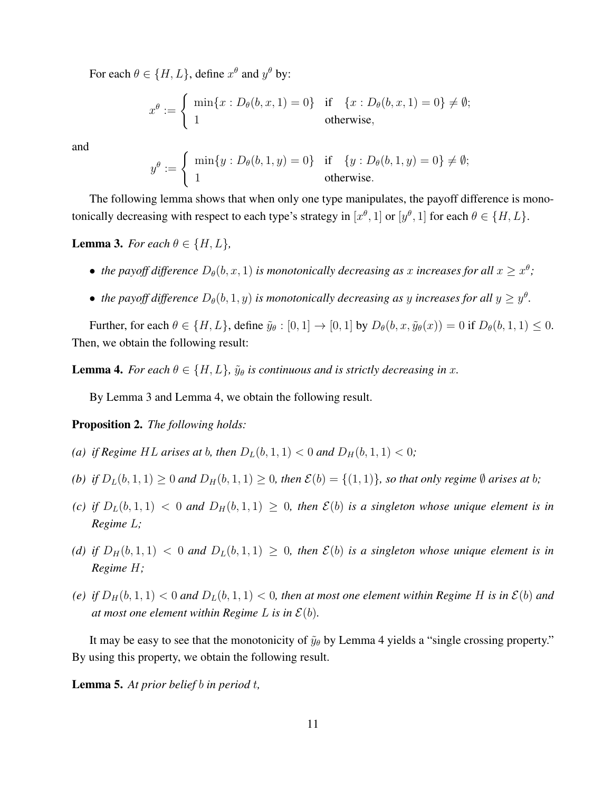For each  $\theta \in \{H, L\}$ , define  $x^{\theta}$  and  $y^{\theta}$  by:

$$
x^{\theta} := \begin{cases} \min\{x : D_{\theta}(b, x, 1) = 0\} & \text{if } \{x : D_{\theta}(b, x, 1) = 0\} \neq \emptyset; \\ 1 & \text{otherwise,} \end{cases}
$$

and

$$
y^{\theta} := \begin{cases} \min\{y : D_{\theta}(b, 1, y) = 0\} & \text{if } \{y : D_{\theta}(b, 1, y) = 0\} \neq \emptyset; \\ 1 & \text{otherwise.} \end{cases}
$$

The following lemma shows that when only one type manipulates, the payoff difference is monotonically decreasing with respect to each type's strategy in  $[x^{\theta}, 1]$  or  $[y^{\theta}, 1]$  for each  $\theta \in \{H, L\}$ .

#### **Lemma 3.** *For each*  $\theta \in \{H, L\}$ ,

- the payoff difference  $D_{\theta}(b, x, 1)$  is monotonically decreasing as x increases for all  $x \geq x^{\theta}$ ;
- the payoff difference  $D_{\theta}(b,1,y)$  is monotonically decreasing as y increases for all  $y \ge y^{\theta}$ .

Further, for each  $\theta \in \{H, L\}$ , define  $\tilde{y}_{\theta} : [0, 1] \rightarrow [0, 1]$  by  $D_{\theta}(b, x, \tilde{y}_{\theta}(x)) = 0$  if  $D_{\theta}(b, 1, 1) \leq 0$ . Then, we obtain the following result:

**Lemma 4.** *For each*  $\theta \in \{H, L\}$ ,  $\tilde{y}_{\theta}$  *is continuous and is strictly decreasing in x*.

By Lemma 3 and Lemma 4, we obtain the following result.

Proposition 2. *The following holds:*

- *(a) if Regime HL arises at b, then*  $D_L(b, 1, 1) < 0$  *and*  $D_H(b, 1, 1) < 0$ *;*
- *(b) if*  $D_L(b, 1, 1) \geq 0$  *and*  $D_H(b, 1, 1) \geq 0$ *, then*  $\mathcal{E}(b) = \{(1, 1)\}\$ *, so that only regime*  $\emptyset$  *arises at b;*
- *(c) if*  $D_L(b,1,1) < 0$  *and*  $D_H(b,1,1) \ge 0$ *, then*  $\mathcal{E}(b)$  *is a singleton whose unique element is in Regime* L*;*
- *(d)* if  $D_H(b,1,1) < 0$  and  $D_L(b,1,1) \geq 0$ , then  $\mathcal{E}(b)$  is a singleton whose unique element is in *Regime* H*;*
- (e) if  $D_H(b, 1, 1) < 0$  and  $D_L(b, 1, 1) < 0$ , then at most one element within Regime H is in  $\mathcal{E}(b)$  and *at most one element within Regime L is in*  $\mathcal{E}(b)$ *.*

It may be easy to see that the monotonicity of  $\tilde{y}_{\theta}$  by Lemma 4 yields a "single crossing property." By using this property, we obtain the following result.

Lemma 5. *At prior belief* b *in period* t*,*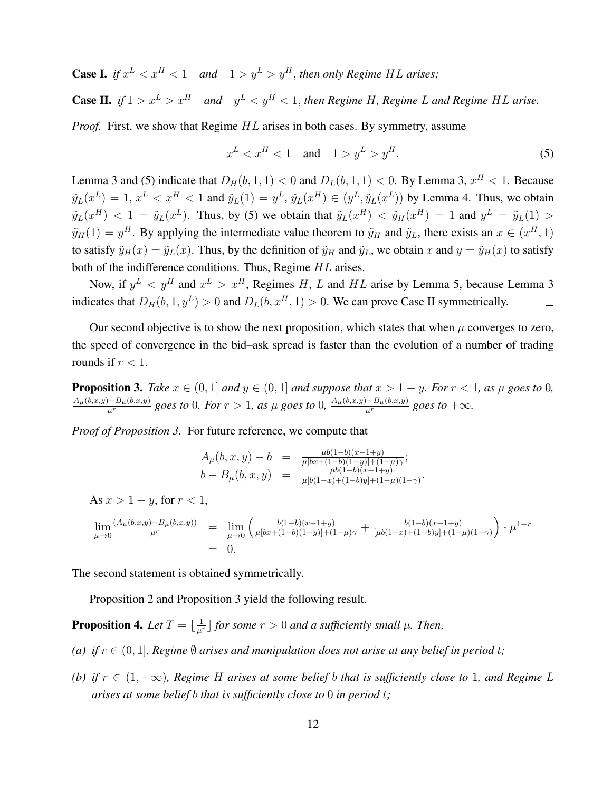**Case I.** if  $x^L < x^H < 1$  and  $1 > y^L > y^H$ , then only Regime HL arises;

**Case II.** if  $1 > x^L > x^H$  and  $y^L < y^H < 1$ , then Regime H, Regime L and Regime HL arise.

*Proof.* First, we show that Regime  $HL$  arises in both cases. By symmetry, assume

$$
x^L < x^H < 1 \quad \text{and} \quad 1 > y^L > y^H. \tag{5}
$$

 $\Box$ 

Lemma 3 and (5) indicate that  $D_H(b, 1, 1) < 0$  and  $D_L(b, 1, 1) < 0$ . By Lemma 3,  $x^H < 1$ . Because  $\tilde{y}_L(x^L) = 1, x^L < x^H < 1$  and  $\tilde{y}_L(1) = y^L, \tilde{y}_L(x^H) \in (y^L, \tilde{y}_L(x^L))$  by Lemma 4. Thus, we obtain  $\tilde{y}_L(x^H) < 1 = \tilde{y}_L(x^L)$ . Thus, by (5) we obtain that  $\tilde{y}_L(x^H) < \tilde{y}_H(x^H) = 1$  and  $y^L = \tilde{y}_L(1) > 1$  $\tilde{y}_H(1) = y^H$ . By applying the intermediate value theorem to  $\tilde{y}_H$  and  $\tilde{y}_L$ , there exists an  $x \in (x^H, 1)$ to satisfy  $\tilde{y}_H(x) = \tilde{y}_L(x)$ . Thus, by the definition of  $\tilde{y}_H$  and  $\tilde{y}_L$ , we obtain x and  $y = \tilde{y}_H(x)$  to satisfy both of the indifference conditions. Thus, Regime HL arises.

Now, if  $y^L$   $\lt y^H$  and  $x^L > x^H$ , Regimes H, L and HL arise by Lemma 5, because Lemma 3 indicates that  $D_H(b, 1, y^L) > 0$  and  $D_L(b, x^H, 1) > 0$ . We can prove Case II symmetrically.  $\Box$ 

Our second objective is to show the next proposition, which states that when  $\mu$  converges to zero, the speed of convergence in the bid–ask spread is faster than the evolution of a number of trading rounds if  $r < 1$ .

**Proposition 3.** *Take*  $x \in (0, 1]$  *and*  $y \in (0, 1]$  *and suppose that*  $x > 1 - y$ *. For*  $r < 1$ *, as*  $\mu$  *goes to* 0*,*  $\frac{A_{\mu}(b,x,y)-B_{\mu}(b,x,y)}{\mu^r}$  goes to  $0$ *. For*  $r>1$ *, as*  $\mu$  *goes to*  $0$ *,*  $\frac{A_{\mu}(b,x,y)-B_{\mu}(b,x,y)}{\mu^r}$  *goes to*  $+\infty$ *.* 

*Proof of Proposition 3.* For future reference, we compute that

 $A_\mu(b,x,y) - b = \frac{\mu b(1-b)(x-1+y)}{\mu [bx+(1-b)(1-y)]+(1-b)}$  $\frac{\mu b(1-b)(x-1+y)}{\mu [bx+(1-b)(1-y)]+(1-\mu)\gamma};$  $b - B_{\mu}(b,x,y) = \frac{\mu b(1-b)(x-1+y)}{\mu [b(1-x)+(1-b)y] + (1-\mu)(1-\gamma)}$ 

As  $x > 1 - y$ , for  $r < 1$ ,

$$
\lim_{\mu \to 0} \frac{(A_{\mu}(b,x,y) - B_{\mu}(b,x,y))}{\mu^r} = \lim_{\mu \to 0} \left( \frac{b(1-b)(x-1+y)}{\mu[bx+(1-b)(1-y)] + (1-\mu)\gamma} + \frac{b(1-b)(x-1+y)}{[\mu b(1-x)+(1-b)y] + (1-\mu)(1-\gamma)} \right) \cdot \mu^{1-r}
$$
  
= 0.

The second statement is obtained symmetrically.

Proposition 2 and Proposition 3 yield the following result.

**Proposition 4.** Let  $T = \lfloor \frac{1}{\mu^r} \rfloor$  for some  $r > 0$  and a sufficiently small  $\mu$ . Then,

- *(a) if*  $r \in (0, 1]$ *, Regime*  $\emptyset$  *arises and manipulation does not arise at any belief in period t;*
- *(b)* if  $r \in (1, +\infty)$ , Regime H arises at some belief b that is sufficiently close to 1, and Regime L *arises at some belief* b *that is sufficiently close to* 0 *in period* t*;*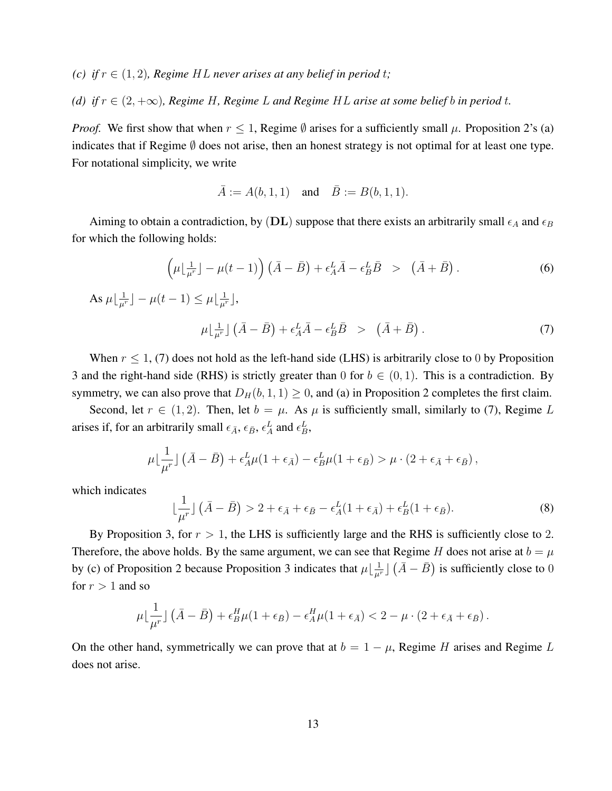- *(c) if*  $r \in (1, 2)$ *, Regime HL never arises at any belief in period t;*
- *(d) if*  $r \in (2, +\infty)$ *, Regime H, Regime L and Regime HL arise at some belief b in period t.*

*Proof.* We first show that when  $r \leq 1$ , Regime  $\emptyset$  arises for a sufficiently small  $\mu$ . Proposition 2's (a) indicates that if Regime  $\emptyset$  does not arise, then an honest strategy is not optimal for at least one type. For notational simplicity, we write

$$
\bar{A} := A(b, 1, 1)
$$
 and  $\bar{B} := B(b, 1, 1)$ .

Aiming to obtain a contradiction, by (DL) suppose that there exists an arbitrarily small  $\epsilon_A$  and  $\epsilon_B$ for which the following holds:

$$
\left(\mu\lfloor \frac{1}{\mu^r}\rfloor - \mu(t-1)\right)\left(\bar{A} - \bar{B}\right) + \epsilon_A^L \bar{A} - \epsilon_B^L \bar{B} > \left(\bar{A} + \bar{B}\right). \tag{6}
$$

As 
$$
\mu \lfloor \frac{1}{\mu^r} \rfloor - \mu(t-1) \le \mu \lfloor \frac{1}{\mu^r} \rfloor
$$
,  

$$
\mu \lfloor \frac{1}{\mu^r} \rfloor (\bar{A} - \bar{B}) + \epsilon_A^L \bar{A} - \epsilon_B^L \bar{B} > (\bar{A} + \bar{B}).
$$
 (7)

When  $r \le 1$ , (7) does not hold as the left-hand side (LHS) is arbitrarily close to 0 by Proposition 3 and the right-hand side (RHS) is strictly greater than 0 for  $b \in (0, 1)$ . This is a contradiction. By symmetry, we can also prove that  $D_H(b, 1, 1) \ge 0$ , and (a) in Proposition 2 completes the first claim.

Second, let  $r \in (1, 2)$ . Then, let  $b = \mu$ . As  $\mu$  is sufficiently small, similarly to (7), Regime L arises if, for an arbitrarily small  $\epsilon_{\bar{A}}$ ,  $\epsilon_{\bar{B}}$ ,  $\epsilon_A^L$  and  $\epsilon_B^L$ ,

$$
\mu\lfloor\frac{1}{\mu^r}\rfloor\left(\bar{A}-\bar{B}\right)+\epsilon_A^L\mu(1+\epsilon_{\bar{A}})-\epsilon_B^L\mu(1+\epsilon_{\bar{B}})>\mu\cdot(2+\epsilon_{\bar{A}}+\epsilon_{\bar{B}}),
$$

which indicates

$$
\lfloor \frac{1}{\mu^r} \rfloor (\bar{A} - \bar{B}) > 2 + \epsilon_{\bar{A}} + \epsilon_{\bar{B}} - \epsilon_A^L (1 + \epsilon_{\bar{A}}) + \epsilon_B^L (1 + \epsilon_{\bar{B}}). \tag{8}
$$

By Proposition 3, for  $r > 1$ , the LHS is sufficiently large and the RHS is sufficiently close to 2. Therefore, the above holds. By the same argument, we can see that Regime H does not arise at  $b = \mu$ by (c) of Proposition 2 because Proposition 3 indicates that  $\mu\lfloor \frac{1}{\mu^r} \rfloor (\bar{A}-\bar{B})$  is sufficiently close to 0 for  $r > 1$  and so

$$
\mu\lfloor\frac{1}{\mu^r}\rfloor\left(\bar{A}-\bar{B}\right)+\epsilon_B^H\mu(1+\epsilon_{\bar{B}})-\epsilon_A^H\mu(1+\epsilon_{\bar{A}})<2-\mu\cdot(2+\epsilon_{\bar{A}}+\epsilon_{\bar{B}}).
$$

On the other hand, symmetrically we can prove that at  $b = 1 - \mu$ , Regime H arises and Regime L does not arise.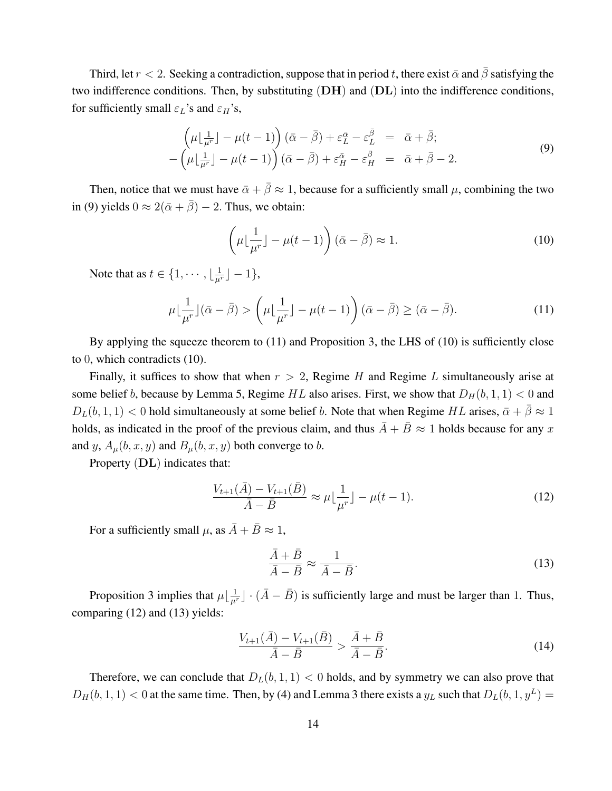Third, let  $r < 2$ . Seeking a contradiction, suppose that in period t, there exist  $\bar{\alpha}$  and  $\bar{\beta}$  satisfying the two indifference conditions. Then, by substituting  $(DH)$  and  $(DL)$  into the indifference conditions, for sufficiently small  $\varepsilon_L$ 's and  $\varepsilon_H$ 's,

$$
\left(\mu\left[\frac{1}{\mu^r}\right] - \mu(t-1)\right)(\bar{\alpha} - \bar{\beta}) + \varepsilon_L^{\bar{\alpha}} - \varepsilon_L^{\bar{\beta}} = \bar{\alpha} + \bar{\beta};
$$
\n
$$
-\left(\mu\left[\frac{1}{\mu^r}\right] - \mu(t-1)\right)(\bar{\alpha} - \bar{\beta}) + \varepsilon_H^{\bar{\alpha}} - \varepsilon_H^{\bar{\beta}} = \bar{\alpha} + \bar{\beta} - 2.
$$
\n(9)

Then, notice that we must have  $\bar{\alpha} + \bar{\beta} \approx 1$ , because for a sufficiently small  $\mu$ , combining the two in (9) yields  $0 \approx 2(\bar{\alpha} + \bar{\beta}) - 2$ . Thus, we obtain:

$$
\left(\mu \lfloor \frac{1}{\mu^r} \rfloor - \mu(t-1)\right) (\bar{\alpha} - \bar{\beta}) \approx 1.
$$
\n(10)

Note that as  $t \in \{1, \dots, \lfloor \frac{1}{\mu^r} \rfloor - 1\},\$ 

$$
\mu \lfloor \frac{1}{\mu^r} \rfloor (\bar{\alpha} - \bar{\beta}) > \left( \mu \lfloor \frac{1}{\mu^r} \rfloor - \mu(t - 1) \right) (\bar{\alpha} - \bar{\beta}) \ge (\bar{\alpha} - \bar{\beta}). \tag{11}
$$

By applying the squeeze theorem to (11) and Proposition 3, the LHS of (10) is sufficiently close to 0, which contradicts (10).

Finally, it suffices to show that when  $r > 2$ , Regime H and Regime L simultaneously arise at some belief b, because by Lemma 5, Regime HL also arises. First, we show that  $D_H(b, 1, 1) < 0$  and  $D_L(b, 1, 1) < 0$  hold simultaneously at some belief b. Note that when Regime HL arises,  $\bar{\alpha} + \bar{\beta} \approx 1$ holds, as indicated in the proof of the previous claim, and thus  $\overline{A} + \overline{B} \approx 1$  holds because for any x and y,  $A_{\mu}(b, x, y)$  and  $B_{\mu}(b, x, y)$  both converge to b.

Property (DL) indicates that:

$$
\frac{V_{t+1}(\bar{A}) - V_{t+1}(\bar{B})}{\bar{A} - \bar{B}} \approx \mu \lfloor \frac{1}{\mu^r} \rfloor - \mu(t-1). \tag{12}
$$

For a sufficiently small  $\mu$ , as  $\bar{A} + \bar{B} \approx 1$ ,

$$
\frac{\bar{A} + \bar{B}}{\bar{A} - \bar{B}} \approx \frac{1}{\bar{A} - \bar{B}}.\tag{13}
$$

Proposition 3 implies that  $\mu \lfloor \frac{1}{\mu^r} \rfloor \cdot (\bar{A} - \bar{B})$  is sufficiently large and must be larger than 1. Thus, comparing (12) and (13) yields:

$$
\frac{V_{t+1}(\bar{A}) - V_{t+1}(\bar{B})}{\bar{A} - \bar{B}} > \frac{\bar{A} + \bar{B}}{\bar{A} - \bar{B}}.
$$
\n(14)

Therefore, we can conclude that  $D_L(b, 1, 1) < 0$  holds, and by symmetry we can also prove that  $D_H(b, 1, 1) < 0$  at the same time. Then, by (4) and Lemma 3 there exists a  $y_L$  such that  $D_L(b, 1, y^L) =$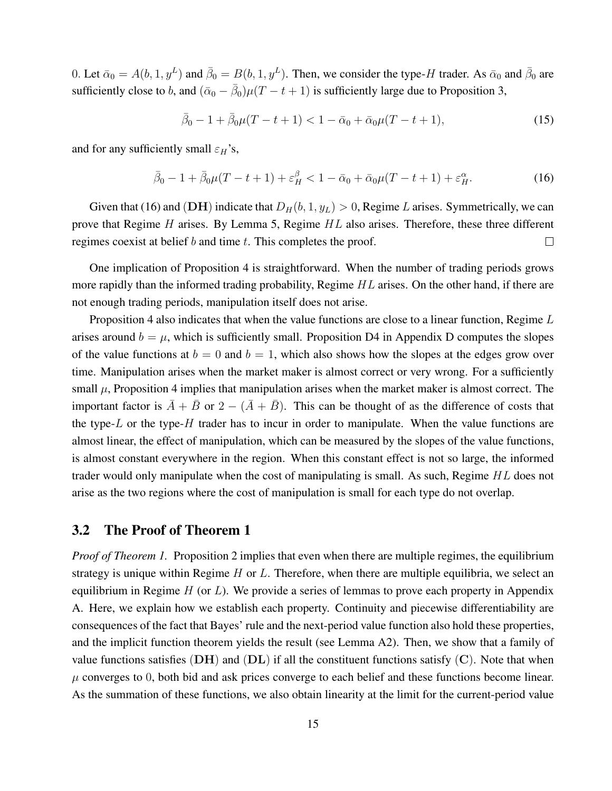0. Let  $\bar{\alpha}_0 = A(b, 1, y^L)$  and  $\bar{\beta}_0 = B(b, 1, y^L)$ . Then, we consider the type-H trader. As  $\bar{\alpha}_0$  and  $\bar{\beta}_0$  are sufficiently close to b, and  $(\bar{\alpha}_0 - \bar{\beta}_0)\mu(T - t + 1)$  is sufficiently large due to Proposition 3,

$$
\bar{\beta}_0 - 1 + \bar{\beta}_0 \mu (T - t + 1) < 1 - \bar{\alpha}_0 + \bar{\alpha}_0 \mu (T - t + 1),\tag{15}
$$

and for any sufficiently small  $\varepsilon_H$ 's,

$$
\bar{\beta}_0 - 1 + \bar{\beta}_0 \mu (T - t + 1) + \varepsilon_H^{\beta} < 1 - \bar{\alpha}_0 + \bar{\alpha}_0 \mu (T - t + 1) + \varepsilon_H^{\alpha}.\tag{16}
$$

Given that (16) and (DH) indicate that  $D_H(b, 1, y_L) > 0$ , Regime L arises. Symmetrically, we can prove that Regime H arises. By Lemma 5, Regime HL also arises. Therefore, these three different regimes coexist at belief b and time t. This completes the proof.  $\Box$ 

One implication of Proposition 4 is straightforward. When the number of trading periods grows more rapidly than the informed trading probability, Regime  $HL$  arises. On the other hand, if there are not enough trading periods, manipulation itself does not arise.

Proposition 4 also indicates that when the value functions are close to a linear function, Regime  $L$ arises around  $b = \mu$ , which is sufficiently small. Proposition D4 in Appendix D computes the slopes of the value functions at  $b = 0$  and  $b = 1$ , which also shows how the slopes at the edges grow over time. Manipulation arises when the market maker is almost correct or very wrong. For a sufficiently small  $\mu$ , Proposition 4 implies that manipulation arises when the market maker is almost correct. The important factor is  $\overline{A} + \overline{B}$  or  $2 - (\overline{A} + \overline{B})$ . This can be thought of as the difference of costs that the type- $L$  or the type- $H$  trader has to incur in order to manipulate. When the value functions are almost linear, the effect of manipulation, which can be measured by the slopes of the value functions, is almost constant everywhere in the region. When this constant effect is not so large, the informed trader would only manipulate when the cost of manipulating is small. As such, Regime HL does not arise as the two regions where the cost of manipulation is small for each type do not overlap.

#### 3.2 The Proof of Theorem 1

*Proof of Theorem 1.* Proposition 2 implies that even when there are multiple regimes, the equilibrium strategy is unique within Regime  $H$  or  $L$ . Therefore, when there are multiple equilibria, we select an equilibrium in Regime  $H$  (or  $L$ ). We provide a series of lemmas to prove each property in Appendix A. Here, we explain how we establish each property. Continuity and piecewise differentiability are consequences of the fact that Bayes' rule and the next-period value function also hold these properties, and the implicit function theorem yields the result (see Lemma A2). Then, we show that a family of value functions satisfies  $(DH)$  and  $(DL)$  if all the constituent functions satisfy  $(C)$ . Note that when  $\mu$  converges to 0, both bid and ask prices converge to each belief and these functions become linear. As the summation of these functions, we also obtain linearity at the limit for the current-period value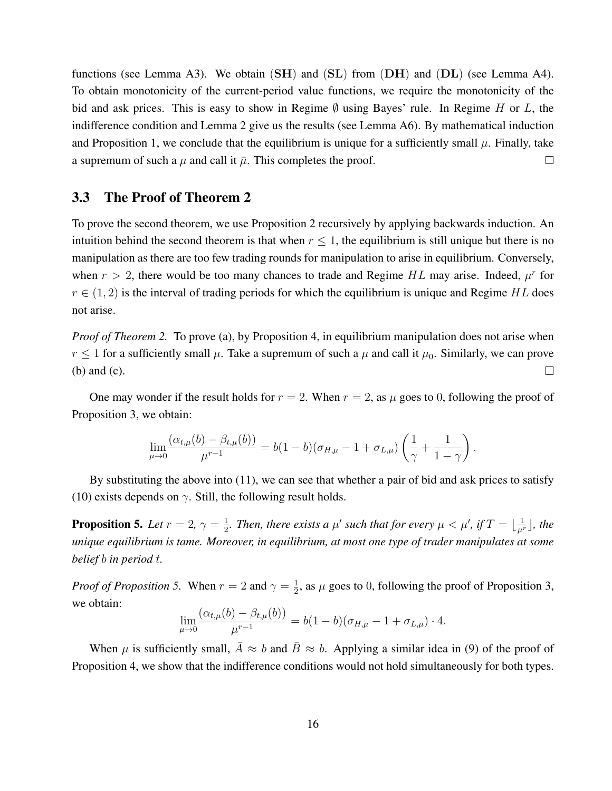functions (see Lemma A3). We obtain  $(SH)$  and  $(SL)$  from  $(DH)$  and  $(DL)$  (see Lemma A4). To obtain monotonicity of the current-period value functions, we require the monotonicity of the bid and ask prices. This is easy to show in Regime  $\emptyset$  using Bayes' rule. In Regime H or L, the indifference condition and Lemma 2 give us the results (see Lemma A6). By mathematical induction and Proposition 1, we conclude that the equilibrium is unique for a sufficiently small  $\mu$ . Finally, take a supremum of such a  $\mu$  and call it  $\bar{\mu}$ . This completes the proof.  $\Box$ 

#### 3.3 The Proof of Theorem 2

To prove the second theorem, we use Proposition 2 recursively by applying backwards induction. An intuition behind the second theorem is that when  $r \leq 1$ , the equilibrium is still unique but there is no manipulation as there are too few trading rounds for manipulation to arise in equilibrium. Conversely, when  $r > 2$ , there would be too many chances to trade and Regime HL may arise. Indeed,  $\mu^r$  for  $r \in (1, 2)$  is the interval of trading periods for which the equilibrium is unique and Regime HL does not arise.

*Proof of Theorem 2.* To prove (a), by Proposition 4, in equilibrium manipulation does not arise when  $r \leq 1$  for a sufficiently small  $\mu$ . Take a supremum of such a  $\mu$  and call it  $\mu_0$ . Similarly, we can prove (b) and (c).  $\Box$ 

One may wonder if the result holds for  $r = 2$ . When  $r = 2$ , as  $\mu$  goes to 0, following the proof of Proposition 3, we obtain:

$$
\lim_{\mu \to 0} \frac{(\alpha_{t,\mu}(b) - \beta_{t,\mu}(b))}{\mu^{r-1}} = b(1-b)(\sigma_{H,\mu} - 1 + \sigma_{L,\mu}) \left(\frac{1}{\gamma} + \frac{1}{1-\gamma}\right).
$$

By substituting the above into (11), we can see that whether a pair of bid and ask prices to satisfy (10) exists depends on  $\gamma$ . Still, the following result holds.

**Proposition 5.** Let  $r = 2$ ,  $\gamma = \frac{1}{2}$  $\frac{1}{2}$ *. Then, there exists a*  $\mu'$  *such that for every*  $\mu < \mu'$ *, if*  $T = \lfloor \frac{1}{\mu^r} \rfloor$ *<i>, the unique equilibrium is tame. Moreover, in equilibrium, at most one type of trader manipulates at some belief* b *in period* t*.*

*Proof of Proposition 5.* When  $r = 2$  and  $\gamma = \frac{1}{2}$  $\frac{1}{2}$ , as  $\mu$  goes to 0, following the proof of Proposition 3, we obtain:  $(1)$   $(1)$ 

$$
\lim_{\mu \to 0} \frac{(\alpha_{t,\mu}(b) - \beta_{t,\mu}(b))}{\mu^{r-1}} = b(1-b)(\sigma_{H,\mu} - 1 + \sigma_{L,\mu}) \cdot 4.
$$

When  $\mu$  is sufficiently small,  $\bar{A} \approx b$  and  $\bar{B} \approx b$ . Applying a similar idea in (9) of the proof of Proposition 4, we show that the indifference conditions would not hold simultaneously for both types.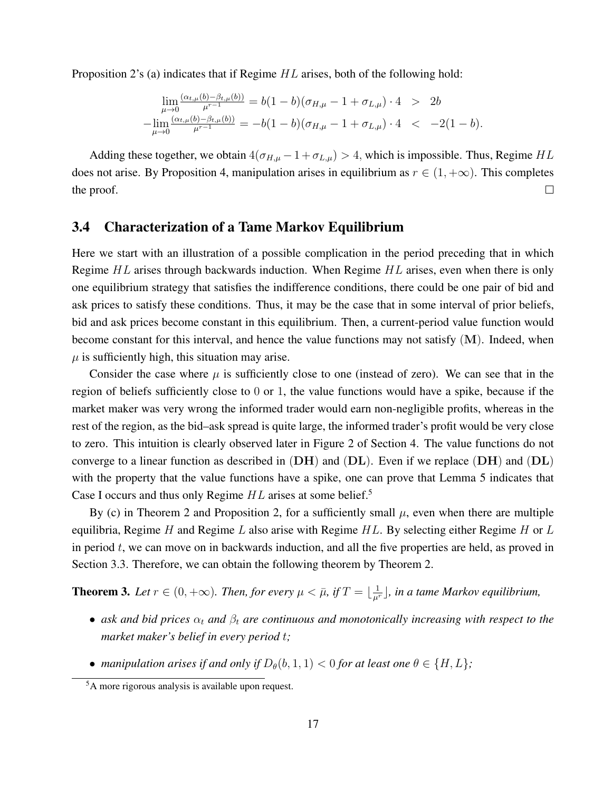Proposition 2's (a) indicates that if Regime HL arises, both of the following hold:

$$
\lim_{\mu \to 0} \frac{(\alpha_{t,\mu}(b) - \beta_{t,\mu}(b))}{\mu^{r-1}} = b(1-b)(\sigma_{H,\mu} - 1 + \sigma_{L,\mu}) \cdot 4 > 2b
$$
  
- 
$$
\lim_{\mu \to 0} \frac{(\alpha_{t,\mu}(b) - \beta_{t,\mu}(b))}{\mu^{r-1}} = -b(1-b)(\sigma_{H,\mu} - 1 + \sigma_{L,\mu}) \cdot 4 < -2(1-b).
$$

Adding these together, we obtain  $4(\sigma_{H,\mu} - 1 + \sigma_{L,\mu}) > 4$ , which is impossible. Thus, Regime HL does not arise. By Proposition 4, manipulation arises in equilibrium as  $r \in (1, +\infty)$ . This completes the proof.  $\Box$ 

### 3.4 Characterization of a Tame Markov Equilibrium

Here we start with an illustration of a possible complication in the period preceding that in which Regime  $HL$  arises through backwards induction. When Regime  $HL$  arises, even when there is only one equilibrium strategy that satisfies the indifference conditions, there could be one pair of bid and ask prices to satisfy these conditions. Thus, it may be the case that in some interval of prior beliefs, bid and ask prices become constant in this equilibrium. Then, a current-period value function would become constant for this interval, and hence the value functions may not satisfy (M). Indeed, when  $\mu$  is sufficiently high, this situation may arise.

Consider the case where  $\mu$  is sufficiently close to one (instead of zero). We can see that in the region of beliefs sufficiently close to 0 or 1, the value functions would have a spike, because if the market maker was very wrong the informed trader would earn non-negligible profits, whereas in the rest of the region, as the bid–ask spread is quite large, the informed trader's profit would be very close to zero. This intuition is clearly observed later in Figure 2 of Section 4. The value functions do not converge to a linear function as described in  $(DH)$  and  $(DL)$ . Even if we replace  $(DH)$  and  $(DL)$ with the property that the value functions have a spike, one can prove that Lemma 5 indicates that Case I occurs and thus only Regime  $HL$  arises at some belief.<sup>5</sup>

By (c) in Theorem 2 and Proposition 2, for a sufficiently small  $\mu$ , even when there are multiple equilibria, Regime H and Regime L also arise with Regime HL. By selecting either Regime H or L in period t, we can move on in backwards induction, and all the five properties are held, as proved in Section 3.3. Therefore, we can obtain the following theorem by Theorem 2.

**Theorem 3.** Let  $r \in (0, +\infty)$ . Then, for every  $\mu < \bar{\mu}$ , if  $T = \lfloor \frac{1}{\mu^r} \rfloor$ , in a tame Markov equilibrium,

- *ask and bid prices*  $\alpha_t$  *and*  $\beta_t$  *are continuous and monotonically increasing with respect to the market maker's belief in every period* t*;*
- *manipulation arises if and only if*  $D_{\theta}(b, 1, 1) < 0$  *for at least one*  $\theta \in \{H, L\}$ *;*

<sup>5</sup>A more rigorous analysis is available upon request.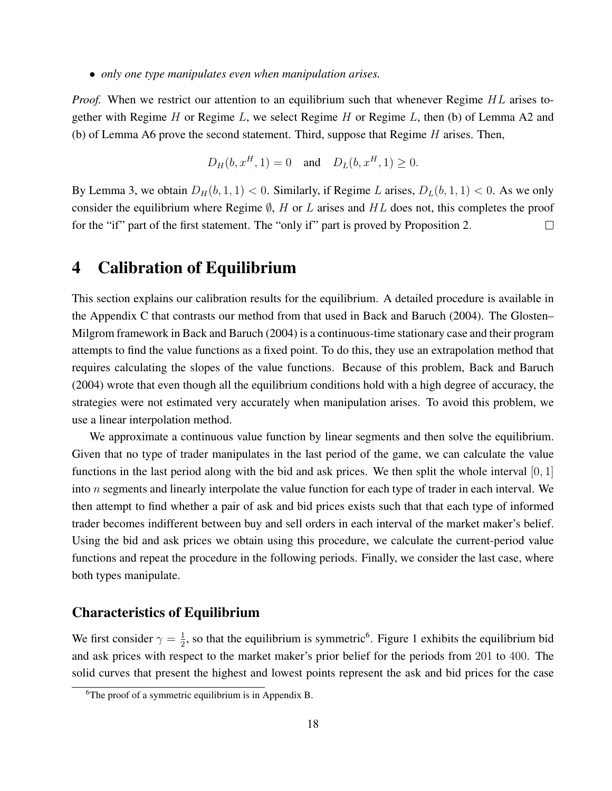• *only one type manipulates even when manipulation arises.*

*Proof.* When we restrict our attention to an equilibrium such that whenever Regime HL arises together with Regime H or Regime L, we select Regime H or Regime L, then (b) of Lemma A2 and (b) of Lemma A6 prove the second statement. Third, suppose that Regime  $H$  arises. Then,

$$
D_H(b, x^H, 1) = 0
$$
 and  $D_L(b, x^H, 1) \ge 0$ .

By Lemma 3, we obtain  $D_H(b, 1, 1) < 0$ . Similarly, if Regime L arises,  $D_L(b, 1, 1) < 0$ . As we only consider the equilibrium where Regime  $\emptyset$ , H or L arises and HL does not, this completes the proof for the "if" part of the first statement. The "only if" part is proved by Proposition 2.  $\Box$ 

### 4 Calibration of Equilibrium

This section explains our calibration results for the equilibrium. A detailed procedure is available in the Appendix C that contrasts our method from that used in Back and Baruch (2004). The Glosten– Milgrom framework in Back and Baruch (2004) is a continuous-time stationary case and their program attempts to find the value functions as a fixed point. To do this, they use an extrapolation method that requires calculating the slopes of the value functions. Because of this problem, Back and Baruch (2004) wrote that even though all the equilibrium conditions hold with a high degree of accuracy, the strategies were not estimated very accurately when manipulation arises. To avoid this problem, we use a linear interpolation method.

We approximate a continuous value function by linear segments and then solve the equilibrium. Given that no type of trader manipulates in the last period of the game, we can calculate the value functions in the last period along with the bid and ask prices. We then split the whole interval [0, 1] into n segments and linearly interpolate the value function for each type of trader in each interval. We then attempt to find whether a pair of ask and bid prices exists such that that each type of informed trader becomes indifferent between buy and sell orders in each interval of the market maker's belief. Using the bid and ask prices we obtain using this procedure, we calculate the current-period value functions and repeat the procedure in the following periods. Finally, we consider the last case, where both types manipulate.

#### Characteristics of Equilibrium

We first consider  $\gamma = \frac{1}{2}$  $\frac{1}{2}$ , so that the equilibrium is symmetric<sup>6</sup>. Figure 1 exhibits the equilibrium bid and ask prices with respect to the market maker's prior belief for the periods from 201 to 400. The solid curves that present the highest and lowest points represent the ask and bid prices for the case

<sup>&</sup>lt;sup>6</sup>The proof of a symmetric equilibrium is in Appendix B.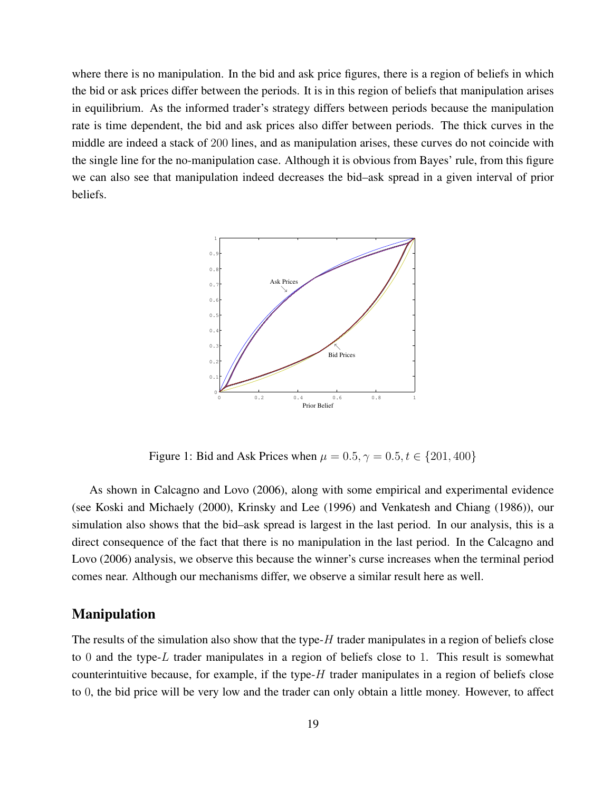where there is no manipulation. In the bid and ask price figures, there is a region of beliefs in which the bid or ask prices differ between the periods. It is in this region of beliefs that manipulation arises in equilibrium. As the informed trader's strategy differs between periods because the manipulation rate is time dependent, the bid and ask prices also differ between periods. The thick curves in the middle are indeed a stack of 200 lines, and as manipulation arises, these curves do not coincide with the single line for the no-manipulation case. Although it is obvious from Bayes' rule, from this figure we can also see that manipulation indeed decreases the bid–ask spread in a given interval of prior beliefs.



Figure 1: Bid and Ask Prices when  $\mu = 0.5, \gamma = 0.5, t \in \{201, 400\}$ 

As shown in Calcagno and Lovo (2006), along with some empirical and experimental evidence (see Koski and Michaely (2000), Krinsky and Lee (1996) and Venkatesh and Chiang (1986)), our simulation also shows that the bid–ask spread is largest in the last period. In our analysis, this is a direct consequence of the fact that there is no manipulation in the last period. In the Calcagno and Lovo (2006) analysis, we observe this because the winner's curse increases when the terminal period comes near. Although our mechanisms differ, we observe a similar result here as well.

#### Manipulation

The results of the simulation also show that the type- $H$  trader manipulates in a region of beliefs close to 0 and the type-L trader manipulates in a region of beliefs close to 1. This result is somewhat counterintuitive because, for example, if the type- $H$  trader manipulates in a region of beliefs close to 0, the bid price will be very low and the trader can only obtain a little money. However, to affect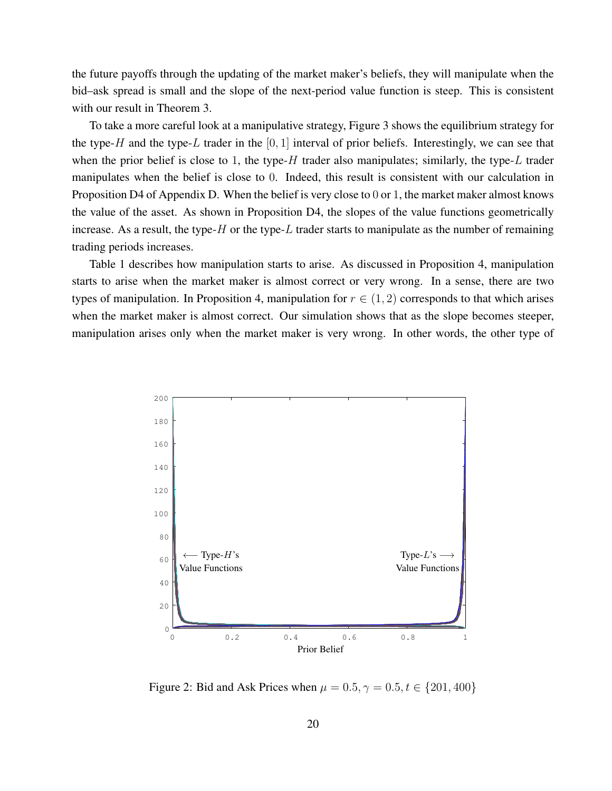the future payoffs through the updating of the market maker's beliefs, they will manipulate when the bid–ask spread is small and the slope of the next-period value function is steep. This is consistent with our result in Theorem 3.

To take a more careful look at a manipulative strategy, Figure 3 shows the equilibrium strategy for the type-H and the type-L trader in the  $[0, 1]$  interval of prior beliefs. Interestingly, we can see that when the prior belief is close to 1, the type-H trader also manipulates; similarly, the type-L trader manipulates when the belief is close to 0. Indeed, this result is consistent with our calculation in Proposition D4 of Appendix D. When the belief is very close to 0 or 1, the market maker almost knows the value of the asset. As shown in Proposition D4, the slopes of the value functions geometrically increase. As a result, the type- $H$  or the type- $L$  trader starts to manipulate as the number of remaining trading periods increases.

Table 1 describes how manipulation starts to arise. As discussed in Proposition 4, manipulation starts to arise when the market maker is almost correct or very wrong. In a sense, there are two types of manipulation. In Proposition 4, manipulation for  $r \in (1, 2)$  corresponds to that which arises when the market maker is almost correct. Our simulation shows that as the slope becomes steeper, manipulation arises only when the market maker is very wrong. In other words, the other type of



Figure 2: Bid and Ask Prices when  $\mu = 0.5, \gamma = 0.5, t \in \{201, 400\}$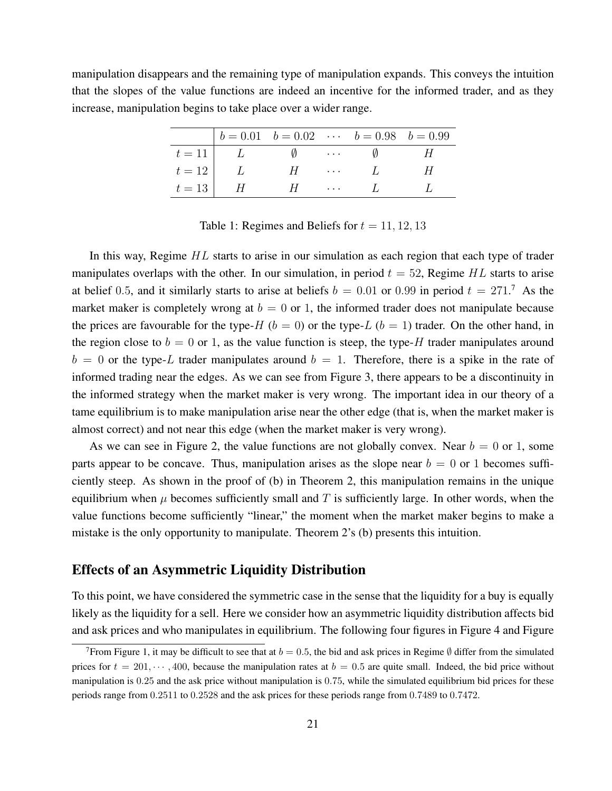manipulation disappears and the remaining type of manipulation expands. This conveys the intuition that the slopes of the value functions are indeed an incentive for the informed trader, and as they increase, manipulation begins to take place over a wider range.

|          |               |               |                                                                                                 | $b = 0.01$ $b = 0.02$ $\cdots$ $b = 0.98$ $b = 0.99$                                                                                                                                                                                                                                                                                         |  |
|----------|---------------|---------------|-------------------------------------------------------------------------------------------------|----------------------------------------------------------------------------------------------------------------------------------------------------------------------------------------------------------------------------------------------------------------------------------------------------------------------------------------------|--|
| $t = 11$ | $\perp$       | $\mathcal{U}$ | $\mathcal{L}^{\mathcal{L}}$ , and $\mathcal{L}^{\mathcal{L}}$ , and $\mathcal{L}^{\mathcal{L}}$ |                                                                                                                                                                                                                                                                                                                                              |  |
| $t = 12$ | $\frac{1}{2}$ | H             |                                                                                                 |                                                                                                                                                                                                                                                                                                                                              |  |
| $t = 13$ | H             | H             |                                                                                                 | $\cdots$ $\cdots$ $\cdots$ $\cdots$ $\cdots$ $\cdots$ $\cdots$ $\cdots$ $\cdots$ $\cdots$ $\cdots$ $\cdots$ $\cdots$ $\cdots$ $\cdots$ $\cdots$ $\cdots$ $\cdots$ $\cdots$ $\cdots$ $\cdots$ $\cdots$ $\cdots$ $\cdots$ $\cdots$ $\cdots$ $\cdots$ $\cdots$ $\cdots$ $\cdots$ $\cdots$ $\cdots$ $\cdots$ $\cdots$ $\cdots$ $\cdots$ $\cdots$ |  |

Table 1: Regimes and Beliefs for  $t = 11, 12, 13$ 

In this way, Regime  $HL$  starts to arise in our simulation as each region that each type of trader manipulates overlaps with the other. In our simulation, in period  $t = 52$ , Regime HL starts to arise at belief 0.5, and it similarly starts to arise at beliefs  $b = 0.01$  or 0.99 in period  $t = 271$ .<sup>7</sup> As the market maker is completely wrong at  $b = 0$  or 1, the informed trader does not manipulate because the prices are favourable for the type-H ( $b = 0$ ) or the type-L ( $b = 1$ ) trader. On the other hand, in the region close to  $b = 0$  or 1, as the value function is steep, the type-H trader manipulates around  $b = 0$  or the type-L trader manipulates around  $b = 1$ . Therefore, there is a spike in the rate of informed trading near the edges. As we can see from Figure 3, there appears to be a discontinuity in the informed strategy when the market maker is very wrong. The important idea in our theory of a tame equilibrium is to make manipulation arise near the other edge (that is, when the market maker is almost correct) and not near this edge (when the market maker is very wrong).

As we can see in Figure 2, the value functions are not globally convex. Near  $b = 0$  or 1, some parts appear to be concave. Thus, manipulation arises as the slope near  $b = 0$  or 1 becomes sufficiently steep. As shown in the proof of (b) in Theorem 2, this manipulation remains in the unique equilibrium when  $\mu$  becomes sufficiently small and T is sufficiently large. In other words, when the value functions become sufficiently "linear," the moment when the market maker begins to make a mistake is the only opportunity to manipulate. Theorem 2's (b) presents this intuition.

### Effects of an Asymmetric Liquidity Distribution

To this point, we have considered the symmetric case in the sense that the liquidity for a buy is equally likely as the liquidity for a sell. Here we consider how an asymmetric liquidity distribution affects bid and ask prices and who manipulates in equilibrium. The following four figures in Figure 4 and Figure

<sup>&</sup>lt;sup>7</sup>From Figure 1, it may be difficult to see that at  $b = 0.5$ , the bid and ask prices in Regime  $\emptyset$  differ from the simulated prices for  $t = 201, \dots, 400$ , because the manipulation rates at  $b = 0.5$  are quite small. Indeed, the bid price without manipulation is 0.25 and the ask price without manipulation is 0.75, while the simulated equilibrium bid prices for these periods range from 0.2511 to 0.2528 and the ask prices for these periods range from 0.7489 to 0.7472.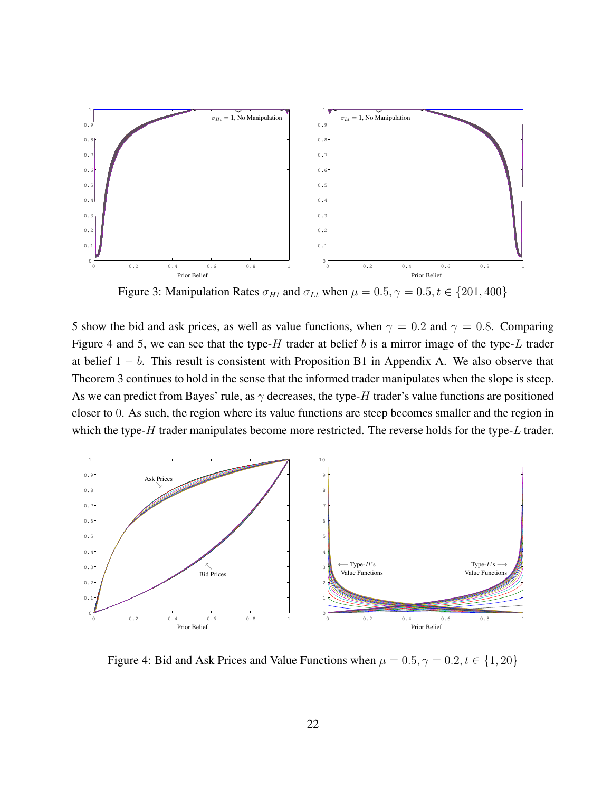

Figure 3: Manipulation Rates  $\sigma_{Ht}$  and  $\sigma_{Lt}$  when  $\mu = 0.5, \gamma = 0.5, t \in \{201, 400\}$ 

5 show the bid and ask prices, as well as value functions, when  $\gamma = 0.2$  and  $\gamma = 0.8$ . Comparing Figure 4 and 5, we can see that the type- $H$  trader at belief b is a mirror image of the type- $L$  trader at belief  $1 - b$ . This result is consistent with Proposition B1 in Appendix A. We also observe that Theorem 3 continues to hold in the sense that the informed trader manipulates when the slope is steep. As we can predict from Bayes' rule, as  $\gamma$  decreases, the type-H trader's value functions are positioned closer to 0. As such, the region where its value functions are steep becomes smaller and the region in which the type- $H$  trader manipulates become more restricted. The reverse holds for the type- $L$  trader.



Figure 4: Bid and Ask Prices and Value Functions when  $\mu = 0.5, \gamma = 0.2, t \in \{1, 20\}$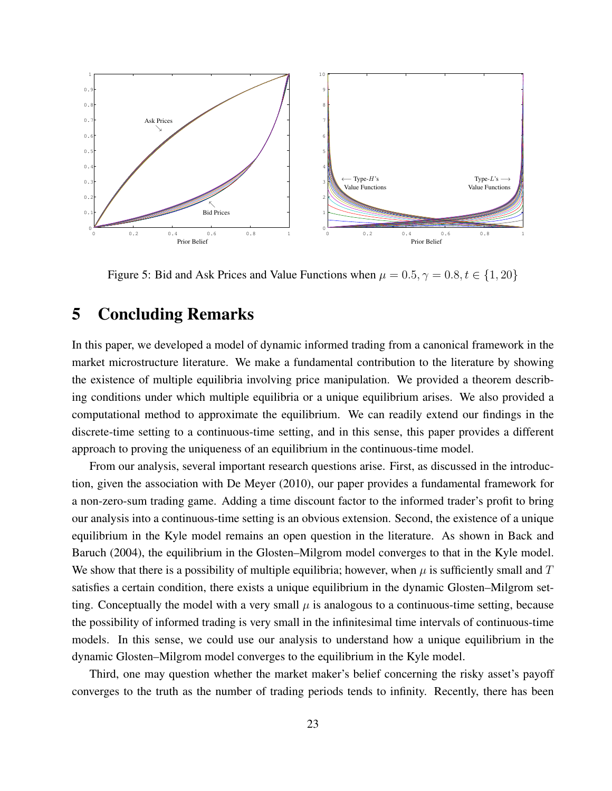

Figure 5: Bid and Ask Prices and Value Functions when  $\mu = 0.5, \gamma = 0.8, t \in \{1, 20\}$ 

# 5 Concluding Remarks

In this paper, we developed a model of dynamic informed trading from a canonical framework in the market microstructure literature. We make a fundamental contribution to the literature by showing the existence of multiple equilibria involving price manipulation. We provided a theorem describing conditions under which multiple equilibria or a unique equilibrium arises. We also provided a computational method to approximate the equilibrium. We can readily extend our findings in the discrete-time setting to a continuous-time setting, and in this sense, this paper provides a different approach to proving the uniqueness of an equilibrium in the continuous-time model.

From our analysis, several important research questions arise. First, as discussed in the introduction, given the association with De Meyer (2010), our paper provides a fundamental framework for a non-zero-sum trading game. Adding a time discount factor to the informed trader's profit to bring our analysis into a continuous-time setting is an obvious extension. Second, the existence of a unique equilibrium in the Kyle model remains an open question in the literature. As shown in Back and Baruch (2004), the equilibrium in the Glosten–Milgrom model converges to that in the Kyle model. We show that there is a possibility of multiple equilibria; however, when  $\mu$  is sufficiently small and  $T$ satisfies a certain condition, there exists a unique equilibrium in the dynamic Glosten–Milgrom setting. Conceptually the model with a very small  $\mu$  is analogous to a continuous-time setting, because the possibility of informed trading is very small in the infinitesimal time intervals of continuous-time models. In this sense, we could use our analysis to understand how a unique equilibrium in the dynamic Glosten–Milgrom model converges to the equilibrium in the Kyle model.

Third, one may question whether the market maker's belief concerning the risky asset's payoff converges to the truth as the number of trading periods tends to infinity. Recently, there has been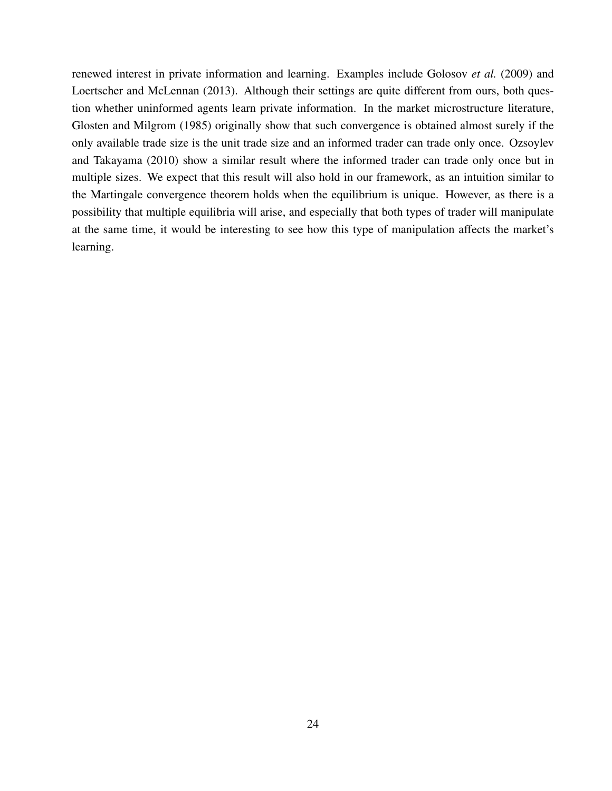renewed interest in private information and learning. Examples include Golosov *et al.* (2009) and Loertscher and McLennan (2013). Although their settings are quite different from ours, both question whether uninformed agents learn private information. In the market microstructure literature, Glosten and Milgrom (1985) originally show that such convergence is obtained almost surely if the only available trade size is the unit trade size and an informed trader can trade only once. Ozsoylev and Takayama (2010) show a similar result where the informed trader can trade only once but in multiple sizes. We expect that this result will also hold in our framework, as an intuition similar to the Martingale convergence theorem holds when the equilibrium is unique. However, as there is a possibility that multiple equilibria will arise, and especially that both types of trader will manipulate at the same time, it would be interesting to see how this type of manipulation affects the market's learning.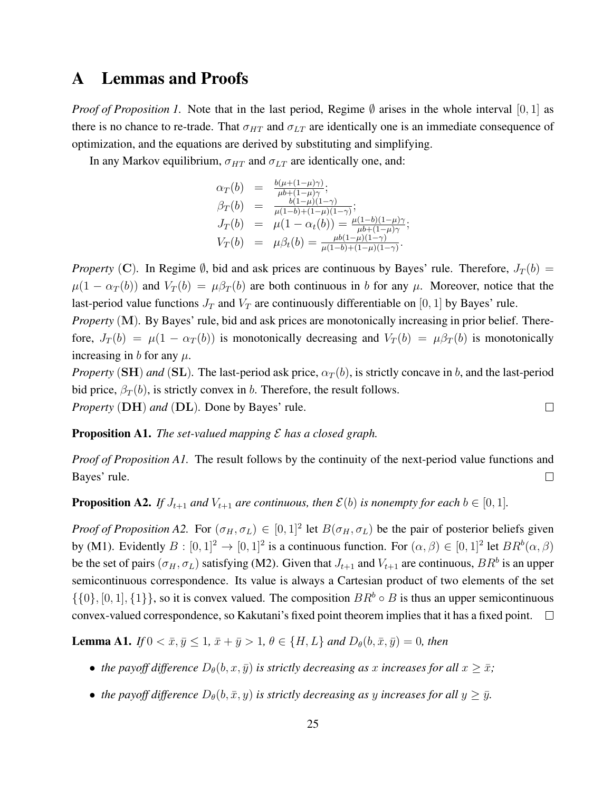### A Lemmas and Proofs

*Proof of Proposition 1.* Note that in the last period, Regime  $\emptyset$  arises in the whole interval [0, 1] as there is no chance to re-trade. That  $\sigma_{HT}$  and  $\sigma_{LT}$  are identically one is an immediate consequence of optimization, and the equations are derived by substituting and simplifying.

In any Markov equilibrium,  $\sigma_{HT}$  and  $\sigma_{LT}$  are identically one, and:

$$
\alpha_T(b) = \frac{b(\mu + (1 - \mu)\gamma)}{\mu b + (1 - \mu)\gamma};
$$
  
\n
$$
\beta_T(b) = \frac{b(1 - \mu)(1 - \gamma)}{\mu(1 - b) + (1 - \mu)(1 - \gamma)};
$$
  
\n
$$
J_T(b) = \mu(1 - \alpha_t(b)) = \frac{\mu(1 - b)(1 - \mu)\gamma}{\mu b + (1 - \mu)\gamma};
$$
  
\n
$$
V_T(b) = \mu\beta_t(b) = \frac{\mu b(1 - \mu)(1 - \gamma)}{\mu(1 - b) + (1 - \mu)(1 - \gamma)}.
$$

*Property* (C). In Regime  $\emptyset$ , bid and ask prices are continuous by Bayes' rule. Therefore,  $J_T(b)$  =  $\mu(1 - \alpha_T(b))$  and  $V_T(b) = \mu \beta_T(b)$  are both continuous in b for any  $\mu$ . Moreover, notice that the last-period value functions  $J_T$  and  $V_T$  are continuously differentiable on [0, 1] by Bayes' rule.

*Property* (M). By Bayes' rule, bid and ask prices are monotonically increasing in prior belief. Therefore,  $J_T(b) = \mu(1 - \alpha_T(b))$  is monotonically decreasing and  $V_T(b) = \mu\beta_T(b)$  is monotonically increasing in b for any  $\mu$ .

*Property* (SH) *and* (SL). The last-period ask price,  $\alpha_T(b)$ , is strictly concave in b, and the last-period bid price,  $\beta_T(b)$ , is strictly convex in b. Therefore, the result follows.

*Property* (DH) *and* (DL)*.* Done by Bayes' rule.

#### Proposition A1. *The set-valued mapping* E *has a closed graph.*

*Proof of Proposition A1.* The result follows by the continuity of the next-period value functions and Bayes' rule.  $\Box$ 

**Proposition A2.** *If*  $J_{t+1}$  *and*  $V_{t+1}$  *are continuous, then*  $\mathcal{E}(b)$  *is nonempty for each*  $b \in [0, 1]$ *.* 

*Proof of Proposition A2.* For  $(\sigma_H, \sigma_L) \in [0, 1]^2$  let  $B(\sigma_H, \sigma_L)$  be the pair of posterior beliefs given by (M1). Evidently  $B:[0,1]^2\to [0,1]^2$  is a continuous function. For  $(\alpha,\beta)\in [0,1]^2$  let  $BR^b(\alpha,\beta)$ be the set of pairs  $(\sigma_H, \sigma_L)$  satisfying (M2). Given that  $J_{t+1}$  and  $V_{t+1}$  are continuous,  $BR^b$  is an upper semicontinuous correspondence. Its value is always a Cartesian product of two elements of the set  $\{\{0\}, [0, 1], \{1\}\}\)$ , so it is convex valued. The composition  $BR^b \circ B$  is thus an upper semicontinuous convex-valued correspondence, so Kakutani's fixed point theorem implies that it has a fixed point.  $\square$ 

**Lemma A1.** *If*  $0 < \bar{x}, \bar{y} \le 1, \bar{x} + \bar{y} > 1, \theta \in \{H, L\}$  *and*  $D_{\theta}(b, \bar{x}, \bar{y}) = 0$ *, then* 

- *the payoff difference*  $D_{\theta}(b, x, \bar{y})$  *is strictly decreasing as x increases for all*  $x \geq \bar{x}$ ;
- *the payoff difference*  $D_{\theta}(b, \bar{x}, y)$  *is strictly decreasing as y increases for all*  $y \geq \bar{y}$ *.*

 $\Box$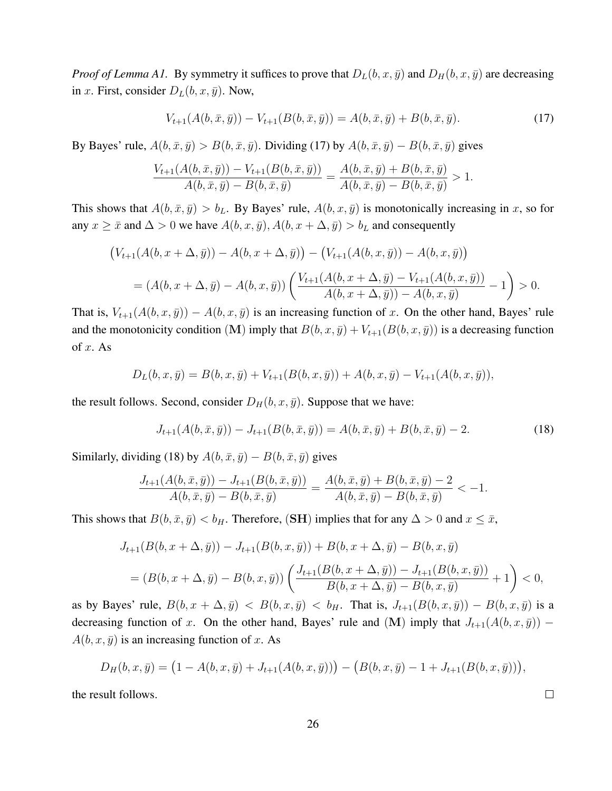*Proof of Lemma A1.* By symmetry it suffices to prove that  $D_L(b, x, \bar{y})$  and  $D_H(b, x, \bar{y})$  are decreasing in x. First, consider  $D_L(b, x, \bar{y})$ . Now,

$$
V_{t+1}(A(b,\bar{x},\bar{y})) - V_{t+1}(B(b,\bar{x},\bar{y})) = A(b,\bar{x},\bar{y}) + B(b,\bar{x},\bar{y}).
$$
\n(17)

By Bayes' rule,  $A(b, \bar{x}, \bar{y}) > B(b, \bar{x}, \bar{y})$ . Dividing (17) by  $A(b, \bar{x}, \bar{y}) - B(b, \bar{x}, \bar{y})$  gives

$$
\frac{V_{t+1}(A(b,\bar{x},\bar{y})) - V_{t+1}(B(b,\bar{x},\bar{y}))}{A(b,\bar{x},\bar{y}) - B(b,\bar{x},\bar{y})} = \frac{A(b,\bar{x},\bar{y}) + B(b,\bar{x},\bar{y})}{A(b,\bar{x},\bar{y}) - B(b,\bar{x},\bar{y})} > 1.
$$

This shows that  $A(b, \bar{x}, \bar{y}) > b_L$ . By Bayes' rule,  $A(b, x, \bar{y})$  is monotonically increasing in x, so for any  $x \geq \bar{x}$  and  $\Delta > 0$  we have  $A(b, x, \bar{y}), A(b, x + \Delta, \bar{y}) > b_L$  and consequently

$$
\left(V_{t+1}(A(b, x + \Delta, \bar{y})) - A(b, x + \Delta, \bar{y})\right) - \left(V_{t+1}(A(b, x, \bar{y})) - A(b, x, \bar{y})\right)
$$

$$
= (A(b, x + \Delta, \bar{y}) - A(b, x, \bar{y})) \left(\frac{V_{t+1}(A(b, x + \Delta, \bar{y}) - V_{t+1}(A(b, x, \bar{y}))}{A(b, x + \Delta, \bar{y})) - A(b, x, \bar{y})} - 1\right) > 0.
$$

That is,  $V_{t+1}(A(b, x, \bar{y})) - A(b, x, \bar{y})$  is an increasing function of x. On the other hand, Bayes' rule and the monotonicity condition (M) imply that  $B(b, x, \bar{y}) + V_{t+1}(B(b, x, \bar{y}))$  is a decreasing function of  $x$ . As

$$
D_L(b, x, \bar{y}) = B(b, x, \bar{y}) + V_{t+1}(B(b, x, \bar{y})) + A(b, x, \bar{y}) - V_{t+1}(A(b, x, \bar{y})),
$$

the result follows. Second, consider  $D_H(b, x, \bar{y})$ . Suppose that we have:

$$
J_{t+1}(A(b,\bar{x},\bar{y})) - J_{t+1}(B(b,\bar{x},\bar{y})) = A(b,\bar{x},\bar{y}) + B(b,\bar{x},\bar{y}) - 2.
$$
 (18)

Similarly, dividing (18) by  $A(b, \bar{x}, \bar{y}) - B(b, \bar{x}, \bar{y})$  gives

$$
\frac{J_{t+1}(A(b,\bar{x},\bar{y})) - J_{t+1}(B(b,\bar{x},\bar{y}))}{A(b,\bar{x},\bar{y}) - B(b,\bar{x},\bar{y})} = \frac{A(b,\bar{x},\bar{y}) + B(b,\bar{x},\bar{y}) - 2}{A(b,\bar{x},\bar{y}) - B(b,\bar{x},\bar{y})} < -1.
$$

This shows that  $B(b, \bar{x}, \bar{y}) < b_H$ . Therefore, (SH) implies that for any  $\Delta > 0$  and  $x \leq \bar{x}$ ,

$$
J_{t+1}(B(b, x + \Delta, \bar{y})) - J_{t+1}(B(b, x, \bar{y})) + B(b, x + \Delta, \bar{y}) - B(b, x, \bar{y})
$$
  
=  $(B(b, x + \Delta, \bar{y}) - B(b, x, \bar{y})) \left( \frac{J_{t+1}(B(b, x + \Delta, \bar{y})) - J_{t+1}(B(b, x, \bar{y}))}{B(b, x + \Delta, \bar{y}) - B(b, x, \bar{y})} + 1 \right) < 0,$ 

as by Bayes' rule,  $B(b, x + \Delta, \bar{y}) < B(b, x, \bar{y}) < b_H$ . That is,  $J_{t+1}(B(b, x, \bar{y})) - B(b, x, \bar{y})$  is a decreasing function of x. On the other hand, Bayes' rule and (M) imply that  $J_{t+1}(A(b, x, \bar{y}))$  –  $A(b, x, \bar{y})$  is an increasing function of x. As

$$
D_H(b, x, \bar{y}) = (1 - A(b, x, \bar{y}) + J_{t+1}(A(b, x, \bar{y}))) - (B(b, x, \bar{y}) - 1 + J_{t+1}(B(b, x, \bar{y}))),
$$

the result follows.

 $\Box$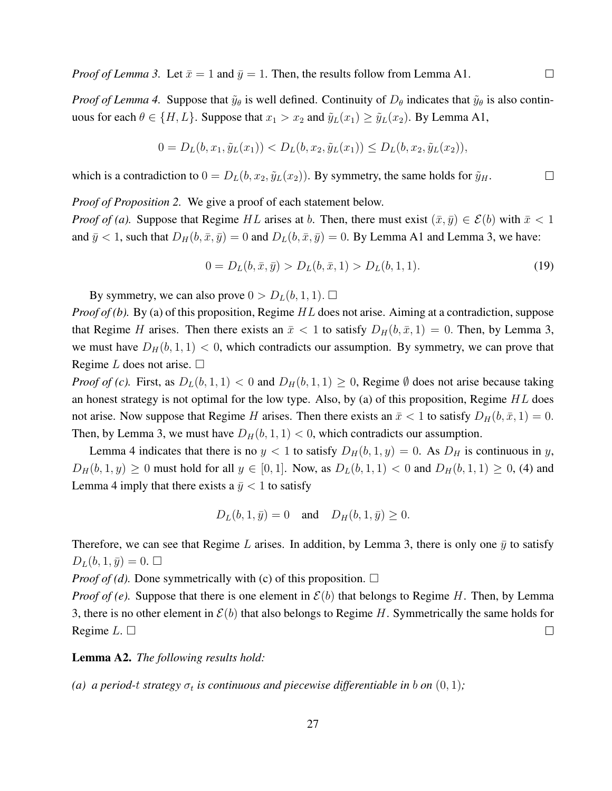$\Box$ 

 $\Box$ 

*Proof of Lemma 4.* Suppose that  $\tilde{y}_{\theta}$  is well defined. Continuity of  $D_{\theta}$  indicates that  $\tilde{y}_{\theta}$  is also continuous for each  $\theta \in \{H, L\}$ . Suppose that  $x_1 > x_2$  and  $\tilde{y}_L(x_1) \ge \tilde{y}_L(x_2)$ . By Lemma A1,

$$
0 = D_L(b, x_1, \tilde{y}_L(x_1)) < D_L(b, x_2, \tilde{y}_L(x_1)) \leq D_L(b, x_2, \tilde{y}_L(x_2)),
$$

which is a contradiction to  $0 = D_L(b, x_2, \tilde{y}_L(x_2))$ . By symmetry, the same holds for  $\tilde{y}_H$ .

*Proof of Proposition 2.* We give a proof of each statement below.

*Proof of (a).* Suppose that Regime HL arises at b. Then, there must exist  $(\bar{x}, \bar{y}) \in \mathcal{E}(b)$  with  $\bar{x} < 1$ and  $\bar{y} < 1$ , such that  $D_H(b, \bar{x}, \bar{y}) = 0$  and  $D_L(b, \bar{x}, \bar{y}) = 0$ . By Lemma A1 and Lemma 3, we have:

$$
0 = D_L(b, \bar{x}, \bar{y}) > D_L(b, \bar{x}, 1) > D_L(b, 1, 1).
$$
\n(19)

By symmetry, we can also prove  $0 > D_L(b, 1, 1)$ .  $\square$ 

*Proof of (b).* By (a) of this proposition, Regime HL does not arise. Aiming at a contradiction, suppose that Regime H arises. Then there exists an  $\bar{x}$  < 1 to satisfy  $D_H(b, \bar{x}, 1) = 0$ . Then, by Lemma 3, we must have  $D_H(b, 1, 1) < 0$ , which contradicts our assumption. By symmetry, we can prove that Regime L does not arise.  $\Box$ 

*Proof of (c).* First, as  $D_L(b, 1, 1) < 0$  and  $D_H(b, 1, 1) \ge 0$ , Regime  $\emptyset$  does not arise because taking an honest strategy is not optimal for the low type. Also, by (a) of this proposition, Regime  $HL$  does not arise. Now suppose that Regime H arises. Then there exists an  $\bar{x} < 1$  to satisfy  $D_H(b, \bar{x}, 1) = 0$ . Then, by Lemma 3, we must have  $D_H(b, 1, 1) < 0$ , which contradicts our assumption.

Lemma 4 indicates that there is no  $y < 1$  to satisfy  $D_H(b, 1, y) = 0$ . As  $D_H$  is continuous in y,  $D_H(b, 1, y) \ge 0$  must hold for all  $y \in [0, 1]$ . Now, as  $D_L(b, 1, 1) < 0$  and  $D_H(b, 1, 1) \ge 0$ , (4) and Lemma 4 imply that there exists a  $\bar{y}$  < 1 to satisfy

$$
D_L(b, 1, \bar{y}) = 0
$$
 and  $D_H(b, 1, \bar{y}) \ge 0$ .

Therefore, we can see that Regime L arises. In addition, by Lemma 3, there is only one  $\bar{y}$  to satisfy  $D_L(b, 1, \bar{y}) = 0. \Box$ 

*Proof of (d).* Done symmetrically with (c) of this proposition.  $\Box$ 

*Proof of (e).* Suppose that there is one element in  $\mathcal{E}(b)$  that belongs to Regime H. Then, by Lemma 3, there is no other element in  $\mathcal{E}(b)$  that also belongs to Regime H. Symmetrically the same holds for Regime  $L \square$  $\Box$ 

Lemma A2. *The following results hold:*

*(a)* a period-t strategy  $\sigma_t$  is continuous and piecewise differentiable in b on  $(0, 1)$ ;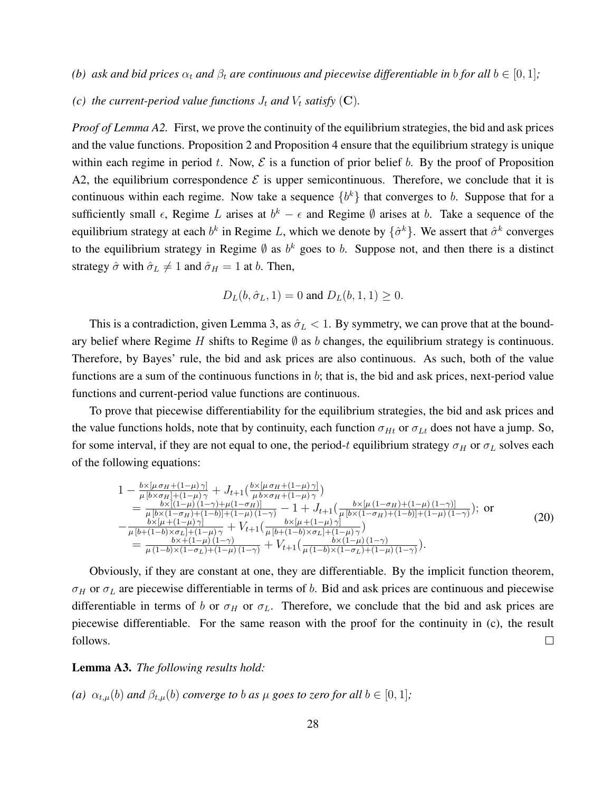*(b) ask and bid prices*  $\alpha_t$  *and*  $\beta_t$  *are continuous and piecewise differentiable in b for all*  $b \in [0, 1]$ *;* 

*(c) the current-period value functions*  $J_t$  *and*  $V_t$  *satisfy* (C).

*Proof of Lemma A2.* First, we prove the continuity of the equilibrium strategies, the bid and ask prices and the value functions. Proposition 2 and Proposition 4 ensure that the equilibrium strategy is unique within each regime in period t. Now,  $\mathcal E$  is a function of prior belief b. By the proof of Proposition A2, the equilibrium correspondence  $\mathcal E$  is upper semicontinuous. Therefore, we conclude that it is continuous within each regime. Now take a sequence  $\{b^k\}$  that converges to b. Suppose that for a sufficiently small  $\epsilon$ , Regime L arises at  $b^k - \epsilon$  and Regime  $\emptyset$  arises at b. Take a sequence of the equilibrium strategy at each  $b^k$  in Regime L, which we denote by  $\{\hat{\sigma}^k\}$ . We assert that  $\hat{\sigma}^k$  converges to the equilibrium strategy in Regime  $\emptyset$  as  $b^k$  goes to b. Suppose not, and then there is a distinct strategy  $\hat{\sigma}$  with  $\hat{\sigma}_L \neq 1$  and  $\hat{\sigma}_H = 1$  at b. Then,

$$
D_L(b, \hat{\sigma}_L, 1) = 0
$$
 and  $D_L(b, 1, 1) \ge 0$ .

This is a contradiction, given Lemma 3, as  $\hat{\sigma}_L < 1$ . By symmetry, we can prove that at the boundary belief where Regime H shifts to Regime  $\emptyset$  as b changes, the equilibrium strategy is continuous. Therefore, by Bayes' rule, the bid and ask prices are also continuous. As such, both of the value functions are a sum of the continuous functions in  $b$ ; that is, the bid and ask prices, next-period value functions and current-period value functions are continuous.

To prove that piecewise differentiability for the equilibrium strategies, the bid and ask prices and the value functions holds, note that by continuity, each function  $\sigma_{Ht}$  or  $\sigma_{Lt}$  does not have a jump. So, for some interval, if they are not equal to one, the period-t equilibrium strategy  $\sigma_H$  or  $\sigma_L$  solves each of the following equations:

$$
1 - \frac{b \times [\mu \sigma_H + (1 - \mu)\gamma]}{\mu [b \times \sigma_H] + (1 - \mu)\gamma} + J_{t+1}(\frac{b \times [\mu \sigma_H + (1 - \mu)\gamma]}{\mu b \times \sigma_H + (1 - \mu)\gamma})
$$
  
\n
$$
= \frac{b \times [(1 - \mu)(1 - \gamma) + \mu(1 - \sigma_H)]}{\mu [b \times (1 - \sigma_H) + (1 - b)] + (1 - \mu)(1 - \gamma)} - 1 + J_{t+1}(\frac{b \times [\mu (1 - \sigma_H) + (1 - \mu)(1 - \gamma)]}{\mu [b \times (1 - \sigma_H) + (1 - \mu)\gamma]}); \text{ or}
$$
  
\n
$$
- \frac{b \times [\mu + (1 - \mu)\gamma]}{\mu [b + (1 - b) \times \sigma_L] + (1 - \mu)\gamma} + V_{t+1}(\frac{b \times [\mu + (1 - \mu)\gamma]}{\mu [b + (1 - b) \times \sigma_L] + (1 - \mu)\gamma}]
$$
  
\n
$$
= \frac{b \times (1 - \mu)(1 - \gamma)}{\mu (1 - b) \times (1 - \sigma_L) + (1 - \mu)(1 - \gamma)} + V_{t+1}(\frac{b \times (1 - \mu)(1 - \gamma)}{\mu (1 - b) \times (1 - \sigma_L) + (1 - \mu)(1 - \gamma)}).
$$
\n(20)

Obviously, if they are constant at one, they are differentiable. By the implicit function theorem,  $\sigma_H$  or  $\sigma_L$  are piecewise differentiable in terms of b. Bid and ask prices are continuous and piecewise differentiable in terms of b or  $\sigma_H$  or  $\sigma_L$ . Therefore, we conclude that the bid and ask prices are piecewise differentiable. For the same reason with the proof for the continuity in (c), the result follows.  $\Box$ 

#### Lemma A3. *The following results hold:*

(a) 
$$
\alpha_{t,\mu}(b)
$$
 and  $\beta_{t,\mu}(b)$  converge to b as  $\mu$  goes to zero for all  $b \in [0,1]$ ;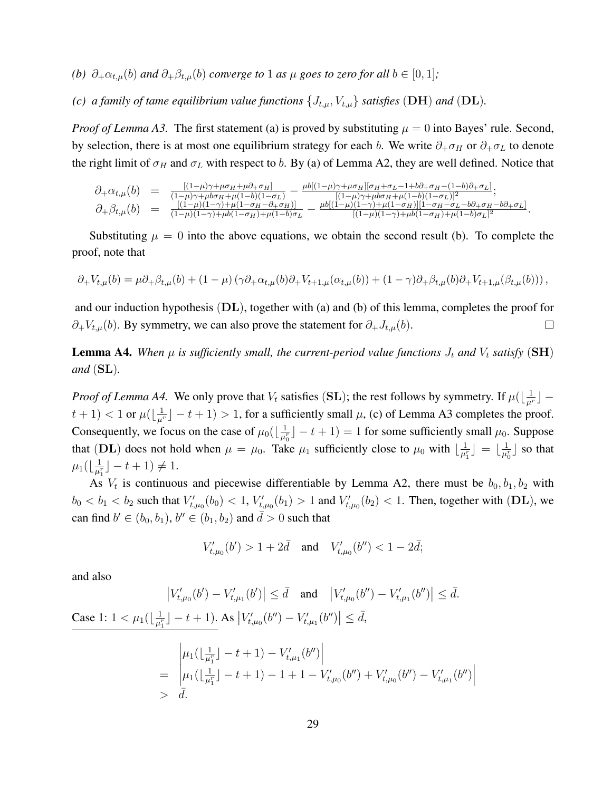- *(b)*  $\partial_+ \alpha_{t,\mu}(b)$  *and*  $\partial_+ \beta_{t,\mu}(b)$  *converge to* 1 *as*  $\mu$  *goes to zero for all*  $b \in [0,1]$ *;*
- *(c) a family of tame equilibrium value functions*  $\{J_{t,\mu}, V_{t,\mu}\}$  *satisfies* (DH) *and* (DL).

*Proof of Lemma A3.* The first statement (a) is proved by substituting  $\mu = 0$  into Bayes' rule. Second, by selection, there is at most one equilibrium strategy for each b. We write  $\partial_+\sigma_H$  or  $\partial_+\sigma_L$  to denote the right limit of  $\sigma_H$  and  $\sigma_L$  with respect to b. By (a) of Lemma A2, they are well defined. Notice that

$$
\partial_{+}\alpha_{t,\mu}(b) = \frac{[(1-\mu)\gamma + \mu\sigma_{H} + \mu\partial_{+}\sigma_{H}]}{(1-\mu)\gamma + \mu\sigma_{H} + \mu(1-b)(1-\sigma_{L})} - \frac{\mu b[(1-\mu)\gamma + \mu\sigma_{H}][\sigma_{H} + \sigma_{L} - 1 + b\partial_{+}\sigma_{H} - (1-b)\partial_{+}\sigma_{L}]}{[(1-\mu)\gamma + \mu\sigma_{H} + \mu(1-b)(1-\sigma_{L})]^{2}}; \n\partial_{+}\beta_{t,\mu}(b) = \frac{[(1-\mu)(1-\gamma) + \mu(1-\sigma_{H} - \partial_{+}\sigma_{H})]}{(1-\mu)(1-\gamma) + \mu(1-\sigma_{H}) + \mu(1-b)\sigma_{L}} - \frac{\mu b[(1-\mu)(1-\gamma) + \mu(1-\sigma_{H})][1-\sigma_{H} - \sigma_{L} - b\partial_{+}\sigma_{H} - b\partial_{+}\sigma_{L}]}{[(1-\mu)(1-\gamma) + \mu b(1-\sigma_{H}) + \mu(1-b)\sigma_{L}]^{2}}
$$

.

Substituting  $\mu = 0$  into the above equations, we obtain the second result (b). To complete the proof, note that

$$
\partial_+ V_{t,\mu}(b) = \mu \partial_+ \beta_{t,\mu}(b) + (1 - \mu) \left( \gamma \partial_+ \alpha_{t,\mu}(b) \partial_+ V_{t+1,\mu}(\alpha_{t,\mu}(b)) + (1 - \gamma) \partial_+ \beta_{t,\mu}(b) \partial_+ V_{t+1,\mu}(\beta_{t,\mu}(b)) \right),
$$

and our induction hypothesis  $(D<sub>L</sub>)$ , together with (a) and (b) of this lemma, completes the proof for  $\partial_+V_{t,\mu}(b)$ . By symmetry, we can also prove the statement for  $\partial_+J_{t,\mu}(b)$ .  $\Box$ 

**Lemma A4.** When  $\mu$  is sufficiently small, the current-period value functions  $J_t$  and  $V_t$  satisfy (SH) *and* (SL)*.*

*Proof of Lemma A4.* We only prove that  $V_t$  satisfies (SL); the rest follows by symmetry. If  $\mu(\lfloor \frac{1}{\mu^r} \rfloor$  $t+1$   $<$  1 or  $\mu(\lfloor \frac{1}{\mu^r} \rfloor - t + 1)$   $>$  1, for a sufficiently small  $\mu$ , (c) of Lemma A3 completes the proof. Consequently, we focus on the case of  $\mu_0(\left\lfloor \frac{1}{\mu_0^2} \right\rfloor)$  $\frac{1}{\mu_0^r}$   $\rfloor$  -  $t$  + 1) = 1 for some sufficiently small  $\mu_0$ . Suppose that (DL) does not hold when  $\mu = \mu_0$ . Take  $\mu_1$  sufficiently close to  $\mu_0$  with  $\lfloor \frac{1}{\mu_1} \rfloor$  $\frac{1}{\mu_1^r}\rfloor\ =\ \lfloor \frac{1}{\mu_0^r}\rfloor$  $\frac{1}{\mu_0^r}$  so that  $\mu_1(\lfloor\frac{1}{\mu}\rfloor$  $\frac{1}{\mu_1^r}$   $- t + 1$   $\neq 1$ .

As  $V_t$  is continuous and piecewise differentiable by Lemma A2, there must be  $b_0, b_1, b_2$  with  $b_0 < b_1 < b_2$  such that  $V'_{t,\mu_0}(b_0) < 1$ ,  $V'_{t,\mu_0}(b_1) > 1$  and  $V'_{t,\mu_0}(b_2) < 1$ . Then, together with (DL), we can find  $b' \in (b_0, b_1)$ ,  $b'' \in (b_1, b_2)$  and  $\overline{d} > 0$  such that

$$
V'_{t,\mu_0}(b') > 1 + 2\bar{d} \quad \text{and} \quad V'_{t,\mu_0}(b'') < 1 - 2\bar{d};
$$

and also

$$
\left|V'_{t,\mu_0}(b') - V'_{t,\mu_1}(b')\right| \le \bar{d} \quad \text{and} \quad \left|V'_{t,\mu_0}(b'') - V'_{t,\mu_1}(b'')\right| \le \bar{d}.
$$
  
Case 1:  $1 < \mu_1\left(\left|\frac{1}{\mu_1^*}\right| - t + 1\right)$ . As  $|V'_{t,\mu_0}(b'') - V'_{t,\mu_1}(b'')| \le \bar{d}$ ,  

$$
\left|\mu_1\left(\left|\frac{1}{\mu_1^*}\right| - t + 1\right) - V'_{t,\mu_1}(b'')\right|
$$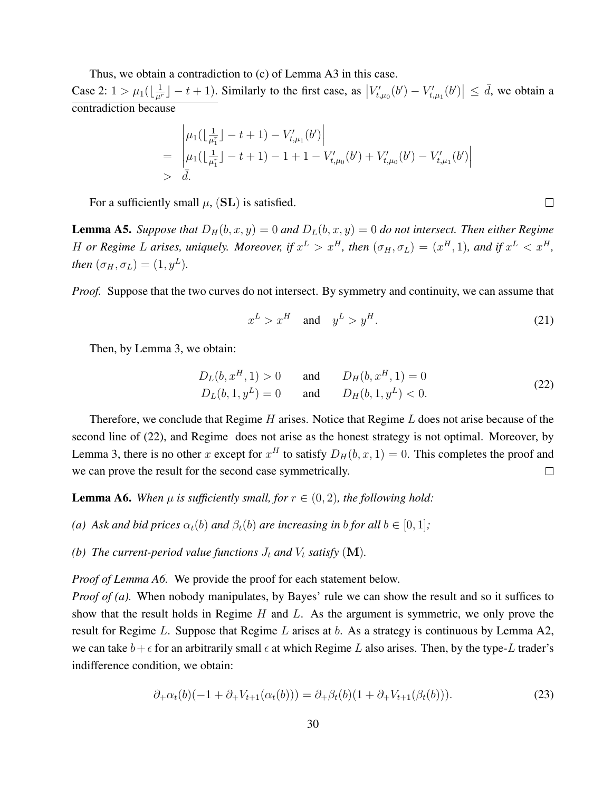Thus, we obtain a contradiction to (c) of Lemma A3 in this case.

Case 2:  $1 > \mu_1(\lfloor \frac{1}{\mu^r} \rfloor - t + 1)$ . Similarly to the first case, as  $|V'_{t,\mu_0}(b') - V'_{t,\mu_1}(b')| \leq d$ , we obtain a contradiction because

$$
= \begin{vmatrix} \mu_1(\lfloor \frac{1}{\mu_1^r} \rfloor - t + 1) - V'_{t,\mu_1}(b') \\ \mu_1(\lfloor \frac{1}{\mu_1^r} \rfloor - t + 1) - 1 + 1 - V'_{t,\mu_0}(b') + V'_{t,\mu_0}(b') - V'_{t,\mu_1}(b') \\ > \bar{d} \end{vmatrix}
$$

For a sufficiently small  $\mu$ , (SL) is satisfied.

**Lemma A5.** Suppose that  $D_H(b, x, y) = 0$  and  $D_L(b, x, y) = 0$  do not intersect. Then either Regime H or Regime L arises, uniquely. Moreover, if  $x^L > x^H$ , then  $(\sigma_H, \sigma_L) = (x^H, 1)$ , and if  $x^L < x^H$ , *then*  $(\sigma_H, \sigma_L) = (1, y^L)$ *.* 

*Proof.* Suppose that the two curves do not intersect. By symmetry and continuity, we can assume that

$$
x^L > x^H \quad \text{and} \quad y^L > y^H. \tag{21}
$$

 $\Box$ 

Then, by Lemma 3, we obtain:

$$
D_L(b, x^H, 1) > 0 \t and \t D_H(b, x^H, 1) = 0
$$
  
\n
$$
D_L(b, 1, y^L) = 0 \t and \t D_H(b, 1, y^L) < 0.
$$
\n(22)

Therefore, we conclude that Regime  $H$  arises. Notice that Regime  $L$  does not arise because of the second line of (22), and Regime does not arise as the honest strategy is not optimal. Moreover, by Lemma 3, there is no other x except for  $x^H$  to satisfy  $D_H(b, x, 1) = 0$ . This completes the proof and we can prove the result for the second case symmetrically.  $\Box$ 

**Lemma A6.** When  $\mu$  is sufficiently small, for  $r \in (0, 2)$ , the following hold:

*(a) Ask and bid prices*  $\alpha_t(b)$  *and*  $\beta_t(b)$  *are increasing in b for all*  $b \in [0, 1]$ *;* 

*(b) The current-period value functions*  $J_t$  *and*  $V_t$  *satisfy*  $(M)$ *.* 

*Proof of Lemma A6.* We provide the proof for each statement below.

*Proof of (a).* When nobody manipulates, by Bayes' rule we can show the result and so it suffices to show that the result holds in Regime  $H$  and  $L$ . As the argument is symmetric, we only prove the result for Regime  $L$ . Suppose that Regime  $L$  arises at  $b$ . As a strategy is continuous by Lemma A2, we can take  $b + \epsilon$  for an arbitrarily small  $\epsilon$  at which Regime L also arises. Then, by the type-L trader's indifference condition, we obtain:

$$
\partial_{+}\alpha_{t}(b)(-1+\partial_{+}V_{t+1}(\alpha_{t}(b))) = \partial_{+}\beta_{t}(b)(1+\partial_{+}V_{t+1}(\beta_{t}(b))). \tag{23}
$$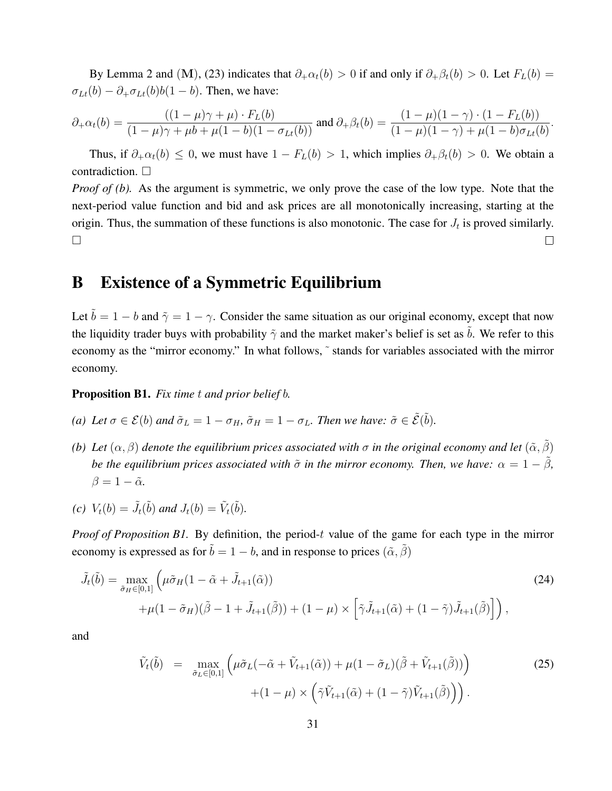By Lemma 2 and (M), (23) indicates that  $\partial_+\alpha_t(b) > 0$  if and only if  $\partial_+\beta_t(b) > 0$ . Let  $F_L(b) =$  $\sigma_{Lt}(b) - \partial_{+} \sigma_{Lt}(b) b(1-b)$ . Then, we have:

$$
\partial_+\alpha_t(b) = \frac{((1-\mu)\gamma + \mu) \cdot F_L(b)}{(1-\mu)\gamma + \mu b + \mu(1-b)(1-\sigma_{Lt}(b))} \text{ and } \partial_+\beta_t(b) = \frac{(1-\mu)(1-\gamma) \cdot (1-F_L(b))}{(1-\mu)(1-\gamma) + \mu(1-b)\sigma_{Lt}(b)}.
$$

Thus, if  $\partial_+\alpha_t(b) \leq 0$ , we must have  $1 - F_L(b) > 1$ , which implies  $\partial_+\beta_t(b) > 0$ . We obtain a contradiction.  $\Box$ 

*Proof of (b).* As the argument is symmetric, we only prove the case of the low type. Note that the next-period value function and bid and ask prices are all monotonically increasing, starting at the origin. Thus, the summation of these functions is also monotonic. The case for  $J_t$  is proved similarly.  $\Box$  $\Box$ 

### B Existence of a Symmetric Equilibrium

Let  $\tilde{b} = 1 - b$  and  $\tilde{\gamma} = 1 - \gamma$ . Consider the same situation as our original economy, except that now the liquidity trader buys with probability  $\tilde{\gamma}$  and the market maker's belief is set as b. We refer to this economy as the "mirror economy." In what follows, ˜ stands for variables associated with the mirror economy.

Proposition B1. *Fix time* t *and prior belief* b*.*

- *(a) Let*  $\sigma \in \mathcal{E}(b)$  *and*  $\tilde{\sigma}_L = 1 \sigma_H$ ,  $\tilde{\sigma}_H = 1 \sigma_L$ *. Then we have:*  $\tilde{\sigma} \in \tilde{\mathcal{E}}(\tilde{b})$ *.*
- *(b) Let*  $(\alpha, \beta)$  *denote the equilibrium prices associated with*  $\sigma$  *in the original economy and let*  $(\tilde{\alpha}, \tilde{\beta})$ *be the equilibrium prices associated with*  $\tilde{\sigma}$  *in the mirror economy. Then, we have:*  $\alpha = 1 - \tilde{\beta}$ *,*  $\beta = 1 - \tilde{\alpha}$ .
- (*c*)  $V_t(b) = \tilde{J}_t(\tilde{b})$  and  $J_t(b) = \tilde{V}_t(\tilde{b})$ .

*Proof of Proposition B1.* By definition, the period-t value of the game for each type in the mirror economy is expressed as for  $\tilde{b} = 1 - b$ , and in response to prices  $(\tilde{\alpha}, \tilde{\beta})$ 

$$
\tilde{J}_t(\tilde{b}) = \max_{\tilde{\sigma}_H \in [0,1]} \left( \mu \tilde{\sigma}_H (1 - \tilde{\alpha} + \tilde{J}_{t+1}(\tilde{\alpha})) \right)
$$
\n
$$
+ \mu (1 - \tilde{\sigma}_H)(\tilde{\beta} - 1 + \tilde{J}_{t+1}(\tilde{\beta})) + (1 - \mu) \times \left[ \tilde{\gamma} \tilde{J}_{t+1}(\tilde{\alpha}) + (1 - \tilde{\gamma}) \tilde{J}_{t+1}(\tilde{\beta}) \right] \right),
$$
\n(24)

and

$$
\tilde{V}_{t}(\tilde{b}) = \max_{\tilde{\sigma}_{L} \in [0,1]} \left( \mu \tilde{\sigma}_{L}(-\tilde{\alpha} + \tilde{V}_{t+1}(\tilde{\alpha})) + \mu (1 - \tilde{\sigma}_{L})(\tilde{\beta} + \tilde{V}_{t+1}(\tilde{\beta})) \right) \tag{25}
$$
\n
$$
+ (1 - \mu) \times \left( \tilde{\gamma} \tilde{V}_{t+1}(\tilde{\alpha}) + (1 - \tilde{\gamma}) \tilde{V}_{t+1}(\tilde{\beta}) \right).
$$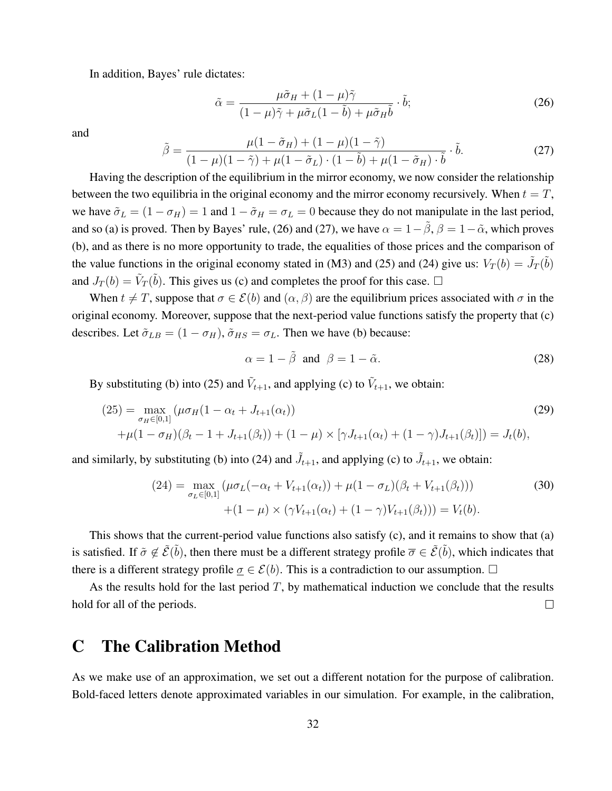In addition, Bayes' rule dictates:

$$
\tilde{\alpha} = \frac{\mu \tilde{\sigma}_H + (1 - \mu)\tilde{\gamma}}{(1 - \mu)\tilde{\gamma} + \mu \tilde{\sigma}_L (1 - \tilde{b}) + \mu \tilde{\sigma}_H \tilde{b}} \cdot \tilde{b};
$$
\n(26)

and

$$
\tilde{\beta} = \frac{\mu(1 - \tilde{\sigma}_H) + (1 - \mu)(1 - \tilde{\gamma})}{(1 - \mu)(1 - \tilde{\gamma}) + \mu(1 - \tilde{\sigma}_L) \cdot (1 - \tilde{b}) + \mu(1 - \tilde{\sigma}_H) \cdot \tilde{b}} \cdot \tilde{b}.
$$
\n(27)

Having the description of the equilibrium in the mirror economy, we now consider the relationship between the two equilibria in the original economy and the mirror economy recursively. When  $t = T$ , we have  $\tilde{\sigma}_L = (1 - \sigma_H) = 1$  and  $1 - \tilde{\sigma}_H = \sigma_L = 0$  because they do not manipulate in the last period, and so (a) is proved. Then by Bayes' rule, (26) and (27), we have  $\alpha = 1-\tilde{\beta}$ ,  $\beta = 1-\tilde{\alpha}$ , which proves (b), and as there is no more opportunity to trade, the equalities of those prices and the comparison of the value functions in the original economy stated in (M3) and (25) and (24) give us:  $V_T(b) = \tilde{J}_T(\tilde{b})$ and  $J_T(b) = \tilde{V}_T(\tilde{b})$ . This gives us (c) and completes the proof for this case.  $\Box$ 

When  $t \neq T$ , suppose that  $\sigma \in \mathcal{E}(b)$  and  $(\alpha, \beta)$  are the equilibrium prices associated with  $\sigma$  in the original economy. Moreover, suppose that the next-period value functions satisfy the property that (c) describes. Let  $\tilde{\sigma}_{LB} = (1 - \sigma_H)$ ,  $\tilde{\sigma}_{HS} = \sigma_L$ . Then we have (b) because:

$$
\alpha = 1 - \tilde{\beta} \text{ and } \beta = 1 - \tilde{\alpha}.
$$
 (28)

By substituting (b) into (25) and  $\tilde{V}_{t+1}$ , and applying (c) to  $\tilde{V}_{t+1}$ , we obtain:

$$
(25) = \max_{\sigma_H \in [0,1]} (\mu \sigma_H (1 - \alpha_t + J_{t+1}(\alpha_t))
$$
  
 
$$
+ \mu (1 - \sigma_H)(\beta_t - 1 + J_{t+1}(\beta_t)) + (1 - \mu) \times [\gamma J_{t+1}(\alpha_t) + (1 - \gamma)J_{t+1}(\beta_t)]) = J_t(b),
$$
 (29)

and similarly, by substituting (b) into (24) and  $\tilde{J}_{t+1}$ , and applying (c) to  $\tilde{J}_{t+1}$ , we obtain:

$$
(24) = \max_{\sigma_L \in [0,1]} (\mu \sigma_L(-\alpha_t + V_{t+1}(\alpha_t)) + \mu (1 - \sigma_L)(\beta_t + V_{t+1}(\beta_t)))
$$
  
 
$$
+ (1 - \mu) \times (\gamma V_{t+1}(\alpha_t) + (1 - \gamma)V_{t+1}(\beta_t))) = V_t(b).
$$
 (30)

This shows that the current-period value functions also satisfy (c), and it remains to show that (a) is satisfied. If  $\tilde{\sigma} \notin \tilde{\mathcal{E}}(\tilde{b})$ , then there must be a different strategy profile  $\overline{\sigma} \in \tilde{\mathcal{E}}(\tilde{b})$ , which indicates that there is a different strategy profile  $\sigma \in \mathcal{E}(b)$ . This is a contradiction to our assumption.  $\Box$ 

As the results hold for the last period  $T$ , by mathematical induction we conclude that the results hold for all of the periods.  $\Box$ 

## C The Calibration Method

As we make use of an approximation, we set out a different notation for the purpose of calibration. Bold-faced letters denote approximated variables in our simulation. For example, in the calibration,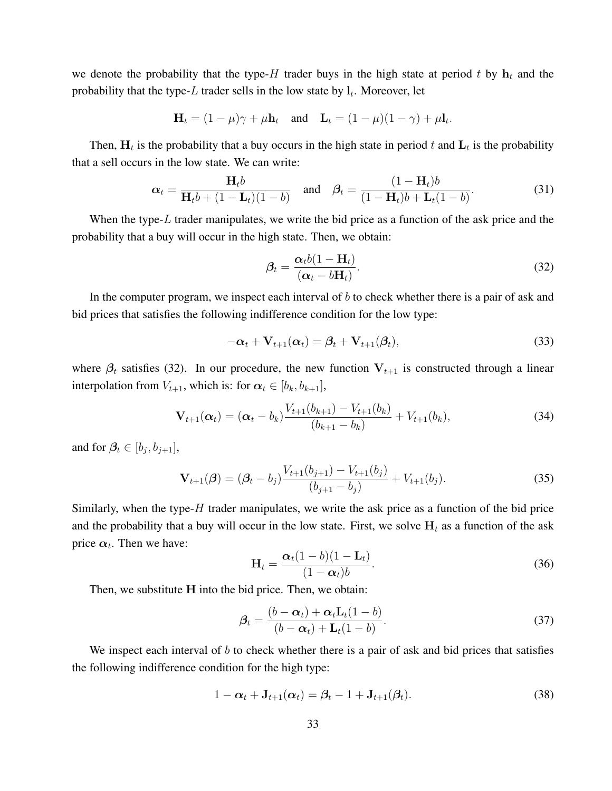we denote the probability that the type-H trader buys in the high state at period t by  $h_t$  and the probability that the type-L trader sells in the low state by  $l_t$ . Moreover, let

$$
\mathbf{H}_t = (1 - \mu)\gamma + \mu \mathbf{h}_t \quad \text{and} \quad \mathbf{L}_t = (1 - \mu)(1 - \gamma) + \mu \mathbf{l}_t.
$$

Then,  $H_t$  is the probability that a buy occurs in the high state in period t and  $L_t$  is the probability that a sell occurs in the low state. We can write:

$$
\boldsymbol{\alpha}_t = \frac{\mathbf{H}_t b}{\mathbf{H}_t b + (1 - \mathbf{L}_t)(1 - b)} \quad \text{and} \quad \boldsymbol{\beta}_t = \frac{(1 - \mathbf{H}_t)b}{(1 - \mathbf{H}_t)b + \mathbf{L}_t(1 - b)}.
$$
 (31)

When the type- $L$  trader manipulates, we write the bid price as a function of the ask price and the probability that a buy will occur in the high state. Then, we obtain:

$$
\beta_t = \frac{\alpha_t b (1 - \mathbf{H}_t)}{(\alpha_t - b \mathbf{H}_t)}.
$$
\n(32)

In the computer program, we inspect each interval of  $b$  to check whether there is a pair of ask and bid prices that satisfies the following indifference condition for the low type:

$$
-\alpha_t + \mathbf{V}_{t+1}(\alpha_t) = \beta_t + \mathbf{V}_{t+1}(\beta_t),
$$
\n(33)

where  $\beta_t$  satisfies (32). In our procedure, the new function  $V_{t+1}$  is constructed through a linear interpolation from  $V_{t+1}$ , which is: for  $\alpha_t \in [b_k, b_{k+1}]$ ,

$$
\mathbf{V}_{t+1}(\boldsymbol{\alpha}_t) = (\boldsymbol{\alpha}_t - b_k) \frac{V_{t+1}(b_{k+1}) - V_{t+1}(b_k)}{(b_{k+1} - b_k)} + V_{t+1}(b_k),
$$
\n(34)

and for  $\beta_t \in [b_j, b_{j+1}],$ 

$$
\mathbf{V}_{t+1}(\boldsymbol{\beta}) = (\boldsymbol{\beta}_t - b_j) \frac{V_{t+1}(b_{j+1}) - V_{t+1}(b_j)}{(b_{j+1} - b_j)} + V_{t+1}(b_j). \tag{35}
$$

Similarly, when the type- $H$  trader manipulates, we write the ask price as a function of the bid price and the probability that a buy will occur in the low state. First, we solve  $H_t$  as a function of the ask price  $\alpha_t$ . Then we have:

$$
\mathbf{H}_t = \frac{\boldsymbol{\alpha}_t (1 - b)(1 - \mathbf{L}_t)}{(1 - \boldsymbol{\alpha}_t)b}.
$$
 (36)

Then, we substitute H into the bid price. Then, we obtain:

$$
\beta_t = \frac{(b - \alpha_t) + \alpha_t \mathbf{L}_t (1 - b)}{(b - \alpha_t) + \mathbf{L}_t (1 - b)}.
$$
\n(37)

We inspect each interval of  $b$  to check whether there is a pair of ask and bid prices that satisfies the following indifference condition for the high type:

$$
1 - \alpha_t + \mathbf{J}_{t+1}(\alpha_t) = \beta_t - 1 + \mathbf{J}_{t+1}(\beta_t).
$$
\n(38)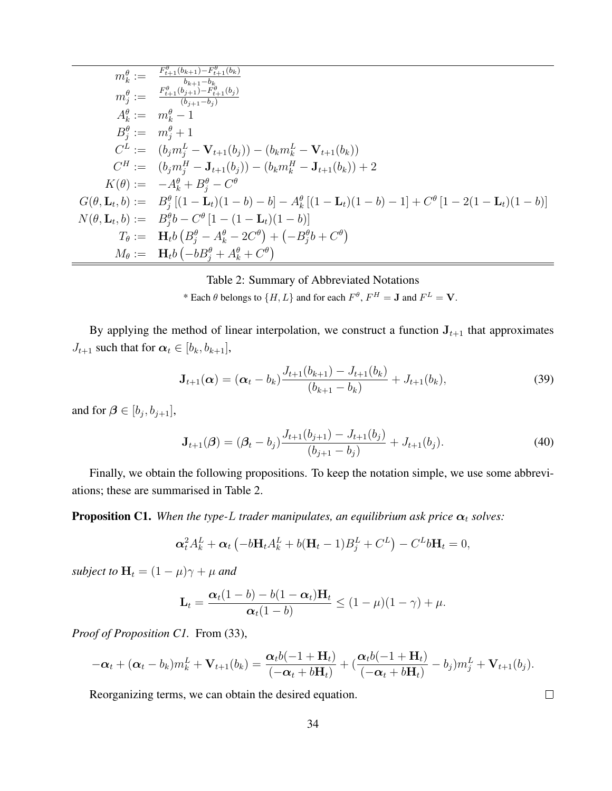$$
m_k^{\theta} := \frac{F_{t+1}^{\theta}(b_{k+1}) - F_{t+1}^{\theta}(b_k)}{b_{k+1} - b_k}
$$
  
\n
$$
m_j^{\theta} := \frac{F_{t+1}^{\theta}(b_{j+1}) - F_{t+1}^{\theta}(b_j)}{(b_{j+1} - b_j)}
$$
  
\n
$$
A_k^{\theta} := m_k^{\theta} - 1
$$
  
\n
$$
B_j^{\theta} := m_j^{\theta} + 1
$$
  
\n
$$
C^L := (b_j m_j^L - \mathbf{V}_{t+1}(b_j)) - (b_k m_k^L - \mathbf{V}_{t+1}(b_k))
$$
  
\n
$$
C^H := (b_j m_j^H - \mathbf{J}_{t+1}(b_j)) - (b_k m_k^H - \mathbf{J}_{t+1}(b_k)) + 2
$$
  
\n
$$
K(\theta) := -A_k^{\theta} + B_j^{\theta} - C^{\theta}
$$
  
\n
$$
G(\theta, \mathbf{L}_t, b) := B_j^{\theta} [(1 - \mathbf{L}_t)(1 - b) - b] - A_k^{\theta} [(1 - \mathbf{L}_t)(1 - b) - 1] + C^{\theta} [1 - 2(1 - \mathbf{L}_t)(1 - b)]
$$
  
\n
$$
N(\theta, \mathbf{L}_t, b) := B_j^{\theta} b - C^{\theta} [1 - (1 - \mathbf{L}_t)(1 - b)]
$$
  
\n
$$
T_{\theta} := \mathbf{H}_t b (B_j^{\theta} - A_k^{\theta} - 2C^{\theta}) + (-B_j^{\theta} b + C^{\theta})
$$
  
\n
$$
M_{\theta} := \mathbf{H}_t b (-b B_j^{\theta} + A_k^{\theta} + C^{\theta})
$$

Table 2: Summary of Abbreviated Notations \* Each  $\theta$  belongs to  $\{H, L\}$  and for each  $F^{\theta}$ ,  $F^H = \mathbf{J}$  and  $F^L = \mathbf{V}$ .

By applying the method of linear interpolation, we construct a function  $J_{t+1}$  that approximates  $J_{t+1}$  such that for  $\alpha_t \in [b_k, b_{k+1}],$ 

$$
\mathbf{J}_{t+1}(\boldsymbol{\alpha}) = (\boldsymbol{\alpha}_t - b_k) \frac{J_{t+1}(b_{k+1}) - J_{t+1}(b_k)}{(b_{k+1} - b_k)} + J_{t+1}(b_k),
$$
\n(39)

and for  $\beta \in [b_j, b_{j+1}],$ 

$$
\mathbf{J}_{t+1}(\boldsymbol{\beta}) = (\boldsymbol{\beta}_t - b_j) \frac{J_{t+1}(b_{j+1}) - J_{t+1}(b_j)}{(b_{j+1} - b_j)} + J_{t+1}(b_j). \tag{40}
$$

Finally, we obtain the following propositions. To keep the notation simple, we use some abbreviations; these are summarised in Table 2.

**Proposition C1.** When the type-L trader manipulates, an equilibrium ask price  $\alpha_t$  solves:

$$
\alpha_t^2 A_k^L + \alpha_t \left( -b \mathbf{H}_t A_k^L + b(\mathbf{H}_t - 1) B_j^L + C^L \right) - C^L b \mathbf{H}_t = 0,
$$

*subject to*  $\mathbf{H}_t = (1 - \mu)\gamma + \mu$  *and* 

$$
\mathbf{L}_t = \frac{\boldsymbol{\alpha}_t(1-b)-b(1-\boldsymbol{\alpha}_t)\mathbf{H}_t}{\boldsymbol{\alpha}_t(1-b)} \leq (1-\mu)(1-\gamma) + \mu.
$$

*Proof of Proposition C1.* From (33),

$$
-\boldsymbol{\alpha}_t + (\boldsymbol{\alpha}_t - b_k) m_k^L + \mathbf{V}_{t+1}(b_k) = \frac{\boldsymbol{\alpha}_t b(-1 + \mathbf{H}_t)}{(-\boldsymbol{\alpha}_t + b\mathbf{H}_t)} + (\frac{\boldsymbol{\alpha}_t b(-1 + \mathbf{H}_t)}{(-\boldsymbol{\alpha}_t + b\mathbf{H}_t)} - b_j) m_j^L + \mathbf{V}_{t+1}(b_j).
$$

Reorganizing terms, we can obtain the desired equation.

 $\Box$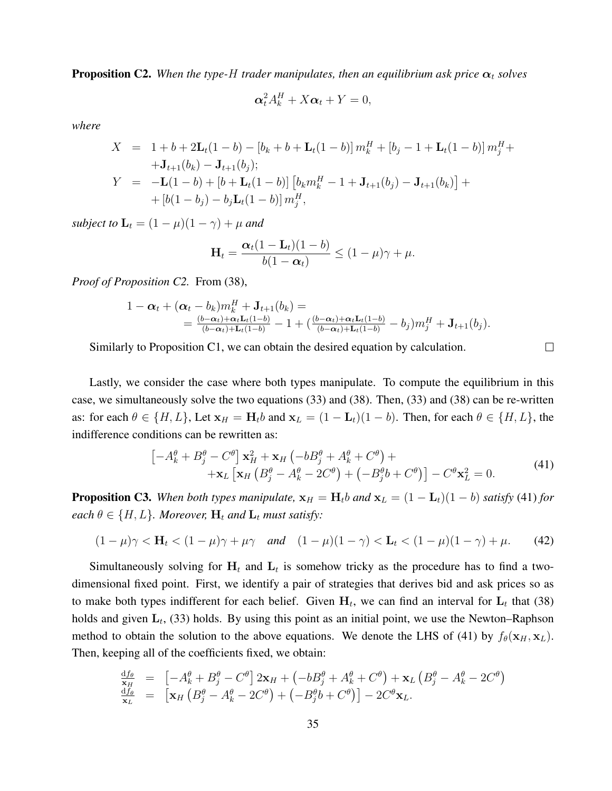**Proposition C2.** When the type-H trader manipulates, then an equilibrium ask price  $\alpha_t$  solves

$$
\alpha_t^2 A_k^H + X \alpha_t + Y = 0,
$$

*where*

$$
X = 1 + b + 2\mathbf{L}_t(1 - b) - [b_k + b + \mathbf{L}_t(1 - b)] \, m_k^H + [b_j - 1 + \mathbf{L}_t(1 - b)] \, m_j^H +
$$
  
+  $\mathbf{J}_{t+1}(b_k) - \mathbf{J}_{t+1}(b_j);$   

$$
Y = -\mathbf{L}(1 - b) + [b + \mathbf{L}_t(1 - b)] \left[ b_k m_k^H - 1 + \mathbf{J}_{t+1}(b_j) - \mathbf{J}_{t+1}(b_k) \right] +
$$
  
+  $\left[ b(1 - b_j) - b_j \mathbf{L}_t(1 - b) \right] m_j^H,$ 

*subject to*  $\mathbf{L}_t = (1 - \mu)(1 - \gamma) + \mu$  *and* 

$$
\mathbf{H}_t = \frac{\boldsymbol{\alpha}_t(1-\mathbf{L}_t)(1-b)}{b(1-\boldsymbol{\alpha}_t)} \leq (1-\mu)\gamma + \mu.
$$

*Proof of Proposition C2.* From (38),

$$
1 - \alpha_t + (\alpha_t - b_k)m_k^H + \mathbf{J}_{t+1}(b_k) =
$$
  
= 
$$
\frac{(b-\alpha_t) + \alpha_t \mathbf{L}_t(1-b)}{(b-\alpha_t) + \mathbf{L}_t(1-b)} - 1 + \left(\frac{(b-\alpha_t) + \alpha_t \mathbf{L}_t(1-b)}{(b-\alpha_t) + \mathbf{L}_t(1-b)} - b_j\right)m_j^H + \mathbf{J}_{t+1}(b_j).
$$

Similarly to Proposition  $C_1$ , we can obtain the desired equation by calculation.

Lastly, we consider the case where both types manipulate. To compute the equilibrium in this case, we simultaneously solve the two equations (33) and (38). Then, (33) and (38) can be re-written as: for each  $\theta \in \{H, L\}$ , Let  $\mathbf{x}_H = \mathbf{H}_t b$  and  $\mathbf{x}_L = (1 - \mathbf{L}_t)(1 - b)$ . Then, for each  $\theta \in \{H, L\}$ , the indifference conditions can be rewritten as:

$$
\begin{aligned}\n\left[-A_k^{\theta} + B_j^{\theta} - C^{\theta}\right] \mathbf{x}_H^2 + \mathbf{x}_H \left(-bB_j^{\theta} + A_k^{\theta} + C^{\theta}\right) + \\
&\quad + \mathbf{x}_L \left[\mathbf{x}_H \left(B_j^{\theta} - A_k^{\theta} - 2C^{\theta}\right) + \left(-B_j^{\theta}b + C^{\theta}\right)\right] - C^{\theta} \mathbf{x}_L^2 = 0.\n\end{aligned} \tag{41}
$$

 $\Box$ 

**Proposition C3.** When both types manipulate,  $\mathbf{x}_H = \mathbf{H}_t b$  and  $\mathbf{x}_L = (1 - \mathbf{L}_t)(1 - b)$  satisfy (41) for *each*  $\theta \in \{H, L\}$ *. Moreover,*  $\mathbf{H}_t$  *and*  $\mathbf{L}_t$  *must satisfy:* 

$$
(1 - \mu)\gamma < \mathbf{H}_t < (1 - \mu)\gamma + \mu\gamma \quad \text{and} \quad (1 - \mu)(1 - \gamma) < \mathbf{L}_t < (1 - \mu)(1 - \gamma) + \mu. \tag{42}
$$

Simultaneously solving for  $H_t$  and  $L_t$  is somehow tricky as the procedure has to find a twodimensional fixed point. First, we identify a pair of strategies that derives bid and ask prices so as to make both types indifferent for each belief. Given  $H_t$ , we can find an interval for  $L_t$  that (38) holds and given  $L_t$ , (33) holds. By using this point as an initial point, we use the Newton–Raphson method to obtain the solution to the above equations. We denote the LHS of (41) by  $f_{\theta}(\mathbf{x}_H, \mathbf{x}_L)$ . Then, keeping all of the coefficients fixed, we obtain:

$$
\frac{\mathrm{d}f_{\theta}}{\mathrm{x}_{H}} = \left[ -A_{k}^{\theta} + B_{j}^{\theta} - C^{\theta} \right] 2\mathrm{x}_{H} + \left( -bB_{j}^{\theta} + A_{k}^{\theta} + C^{\theta} \right) + \mathrm{x}_{L} \left( B_{j}^{\theta} - A_{k}^{\theta} - 2C^{\theta} \right) \n\frac{\mathrm{d}f_{\theta}}{\mathrm{x}_{L}} = \left[ \mathrm{x}_{H} \left( B_{j}^{\theta} - A_{k}^{\theta} - 2C^{\theta} \right) + \left( -B_{j}^{\theta}b + C^{\theta} \right) \right] - 2C^{\theta} \mathrm{x}_{L}.
$$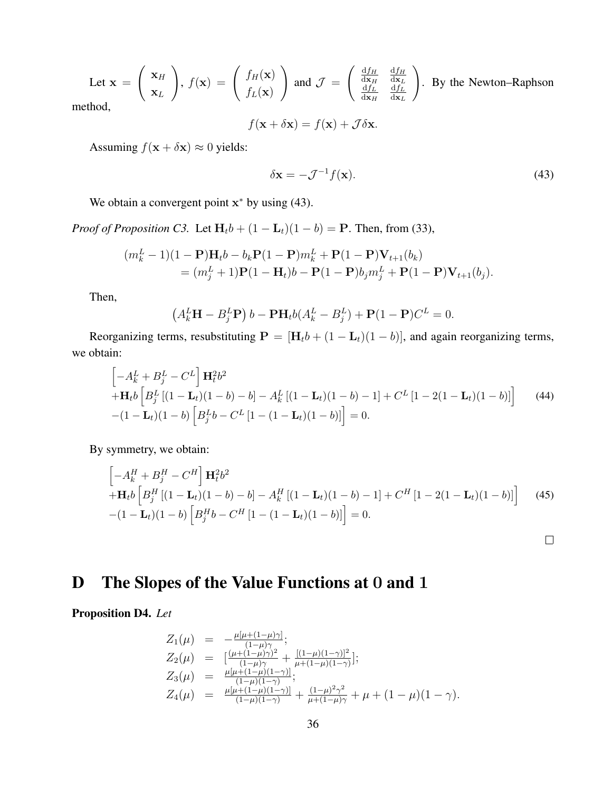Let 
$$
\mathbf{x} = \begin{pmatrix} \mathbf{x}_H \\ \mathbf{x}_L \end{pmatrix}
$$
,  $f(\mathbf{x}) = \begin{pmatrix} f_H(\mathbf{x}) \\ f_L(\mathbf{x}) \end{pmatrix}$  and  $\mathcal{J} = \begin{pmatrix} \frac{df_H}{d\mathbf{x}_H} & \frac{df_H}{d\mathbf{x}_L} \\ \frac{df_L}{d\mathbf{x}_H} & \frac{df_L}{d\mathbf{x}_L} \end{pmatrix}$ . By the Newton–Raphson

method,

$$
f(\mathbf{x} + \delta \mathbf{x}) = f(\mathbf{x}) + \mathcal{J} \delta \mathbf{x}.
$$

Assuming  $f(\mathbf{x} + \delta \mathbf{x}) \approx 0$  yields:

$$
\delta \mathbf{x} = -\mathcal{J}^{-1} f(\mathbf{x}).\tag{43}
$$

 $\Box$ 

We obtain a convergent point  $x^*$  by using (43).

*Proof of Proposition C3.* Let  $H_t b + (1 - L_t)(1 - b) = P$ . Then, from (33),

$$
(m_k^L - 1)(1 - P)H_t b - b_k P(1 - P)m_k^L + P(1 - P)V_{t+1}(b_k)
$$
  
=  $(m_j^L + 1)P(1 - H_t)b - P(1 - P)b_jm_j^L + P(1 - P)V_{t+1}(b_j).$ 

Then,

$$
(AkLH – BjLP) b – PHtb(AkL – BjL) + P(1 – P)CL = 0.
$$

Reorganizing terms, resubstituting  $P = [H_t b + (1 - L_t)(1 - b)]$ , and again reorganizing terms, we obtain:

$$
\begin{aligned}\n&\left[-A_k^L + B_j^L - C^L\right] \mathbf{H}_t^2 b^2 \\
&+ \mathbf{H}_t b \left[B_j^L \left[ (1 - \mathbf{L}_t)(1 - b) - b \right] - A_k^L \left[ (1 - \mathbf{L}_t)(1 - b) - 1 \right] + C^L \left[ 1 - 2(1 - \mathbf{L}_t)(1 - b) \right] \right] \tag{44} \\
&- (1 - \mathbf{L}_t)(1 - b) \left[B_j^L b - C^L \left[ 1 - (1 - \mathbf{L}_t)(1 - b) \right] \right] = 0.\n\end{aligned}
$$

By symmetry, we obtain:

$$
\begin{aligned}\n&\left[-A_k^H + B_j^H - C^H\right] \mathbf{H}_t^2 b^2 \\
&+ \mathbf{H}_t b \left[B_j^H \left[ (1 - \mathbf{L}_t)(1 - b) - b \right] - A_k^H \left[ (1 - \mathbf{L}_t)(1 - b) - 1 \right] + C^H \left[ 1 - 2(1 - \mathbf{L}_t)(1 - b) \right] \right] \tag{45} \\
&- (1 - \mathbf{L}_t)(1 - b) \left[B_j^H b - C^H \left[ 1 - (1 - \mathbf{L}_t)(1 - b) \right] \right] = 0.\n\end{aligned}
$$

# D The Slopes of the Value Functions at 0 and 1

Proposition D4. *Let*

$$
Z_1(\mu) = -\frac{\mu[\mu + (1 - \mu)\gamma]}{(1 - \mu)\gamma};
$$
  
\n
$$
Z_2(\mu) = \left[ \frac{(\mu + (1 - \mu)\gamma)^2}{(1 - \mu)\gamma} + \frac{[(1 - \mu)(1 - \gamma)]^2}{\mu + (1 - \mu)(1 - \gamma)} \right];
$$
  
\n
$$
Z_3(\mu) = \frac{\mu[\mu + (1 - \mu)(1 - \gamma)]}{(1 - \mu)(1 - \gamma)};
$$
  
\n
$$
Z_4(\mu) = \frac{\mu[\mu + (1 - \mu)(1 - \gamma)]}{(1 - \mu)(1 - \gamma)} + \frac{(1 - \mu)^2 \gamma^2}{\mu + (1 - \mu)\gamma} + \mu + (1 - \mu)(1 - \gamma).
$$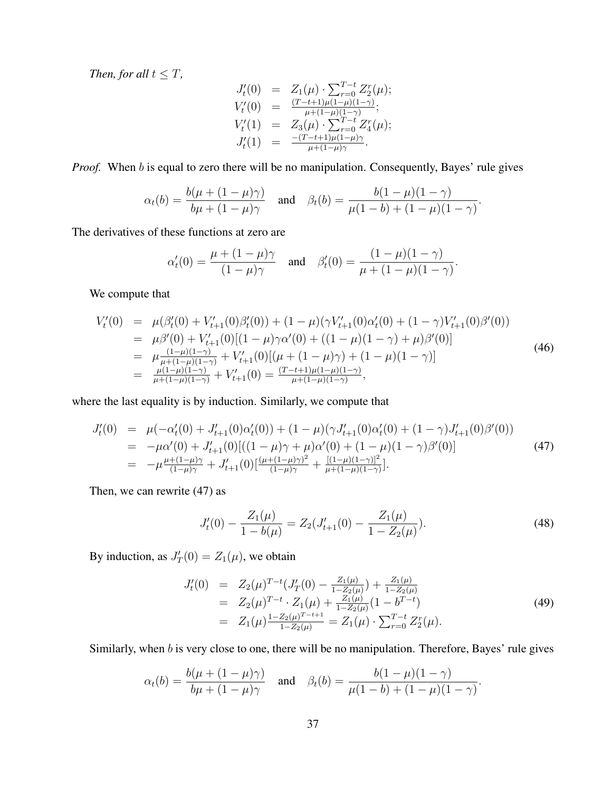*Then, for all*  $t \leq T$ *,* 

$$
J'_{t}(0) = Z_{1}(\mu) \cdot \sum_{r=0}^{T-t} Z_{2}^{r}(\mu);
$$
  
\n
$$
V'_{t}(0) = \frac{(T-t+1)\mu(1-\mu)(1-\gamma)}{\mu+(1-\mu)(1-\gamma)};
$$
  
\n
$$
V'_{t}(1) = Z_{3}(\mu) \cdot \sum_{r=0}^{T-t} Z_{4}^{r}(\mu);
$$
  
\n
$$
J'_{t}(1) = \frac{-(T-t+1)\mu(1-\mu)\gamma}{\mu+(1-\mu)\gamma}.
$$

*Proof.* When b is equal to zero there will be no manipulation. Consequently, Bayes' rule gives

$$
\alpha_t(b) = \frac{b(\mu + (1 - \mu)\gamma)}{b\mu + (1 - \mu)\gamma}
$$
 and  $\beta_t(b) = \frac{b(1 - \mu)(1 - \gamma)}{\mu(1 - b) + (1 - \mu)(1 - \gamma)}$ .

The derivatives of these functions at zero are

$$
\alpha'_t(0) = \frac{\mu + (1 - \mu)\gamma}{(1 - \mu)\gamma}
$$
 and  $\beta'_t(0) = \frac{(1 - \mu)(1 - \gamma)}{\mu + (1 - \mu)(1 - \gamma)}$ .

We compute that

$$
V'_{t}(0) = \mu(\beta'_{t}(0) + V'_{t+1}(0)\beta'_{t}(0)) + (1 - \mu)(\gamma V'_{t+1}(0)\alpha'_{t}(0) + (1 - \gamma)V'_{t+1}(0)\beta'(0))
$$
  
\n
$$
= \mu\beta'(0) + V'_{t+1}(0)[(1 - \mu)\gamma\alpha'(0) + ((1 - \mu)(1 - \gamma) + \mu)\beta'(0)]
$$
  
\n
$$
= \mu \frac{(1 - \mu)(1 - \gamma)}{\mu + (1 - \mu)(1 - \gamma)} + V'_{t+1}(0)[(\mu + (1 - \mu)\gamma) + (1 - \mu)(1 - \gamma)]
$$
  
\n
$$
= \frac{\mu(1 - \mu)(1 - \gamma)}{\mu + (1 - \mu)(1 - \gamma)} + V'_{t+1}(0) = \frac{(T - t + 1)\mu(1 - \mu)(1 - \gamma)}{\mu + (1 - \mu)(1 - \gamma)},
$$
 (46)

where the last equality is by induction. Similarly, we compute that

$$
J'_{t}(0) = \mu(-\alpha'_{t}(0) + J'_{t+1}(0)\alpha'_{t}(0)) + (1 - \mu)(\gamma J'_{t+1}(0)\alpha'_{t}(0) + (1 - \gamma)J'_{t+1}(0)\beta'(0))
$$
  
\n
$$
= -\mu\alpha'(0) + J'_{t+1}(0)[((1 - \mu)\gamma + \mu)\alpha'(0) + (1 - \mu)(1 - \gamma)\beta'(0)]
$$
  
\n
$$
= -\mu \frac{\mu + (1 - \mu)\gamma}{(1 - \mu)\gamma} + J'_{t+1}(0)[\frac{(\mu + (1 - \mu)\gamma)^{2}}{(1 - \mu)\gamma} + \frac{[(1 - \mu)(1 - \gamma)]^{2}}{\mu + (1 - \mu)(1 - \gamma)}].
$$
\n(47)

Then, we can rewrite (47) as

$$
J_t'(0) - \frac{Z_1(\mu)}{1 - b(\mu)} = Z_2(J_{t+1}'(0) - \frac{Z_1(\mu)}{1 - Z_2(\mu)}).
$$
\n(48)

By induction, as  $J'_T(0) = Z_1(\mu)$ , we obtain

$$
J'_{t}(0) = Z_{2}(\mu)^{T-t}(J'_{T}(0) - \frac{Z_{1}(\mu)}{1 - Z_{2}(\mu)}) + \frac{Z_{1}(\mu)}{1 - Z_{2}(\mu)}
$$
  
\n
$$
= Z_{2}(\mu)^{T-t} \cdot Z_{1}(\mu) + \frac{Z_{1}(\mu)}{1 - Z_{2}(\mu)}(1 - b^{T-t})
$$
  
\n
$$
= Z_{1}(\mu) \frac{1 - Z_{2}(\mu)^{T-t+1}}{1 - Z_{2}(\mu)} = Z_{1}(\mu) \cdot \sum_{r=0}^{T-t} Z_{2}^{r}(\mu).
$$
\n(49)

Similarly, when b is very close to one, there will be no manipulation. Therefore, Bayes' rule gives

$$
\alpha_t(b) = \frac{b(\mu + (1 - \mu)\gamma)}{b\mu + (1 - \mu)\gamma}
$$
 and  $\beta_t(b) = \frac{b(1 - \mu)(1 - \gamma)}{\mu(1 - b) + (1 - \mu)(1 - \gamma)}$ .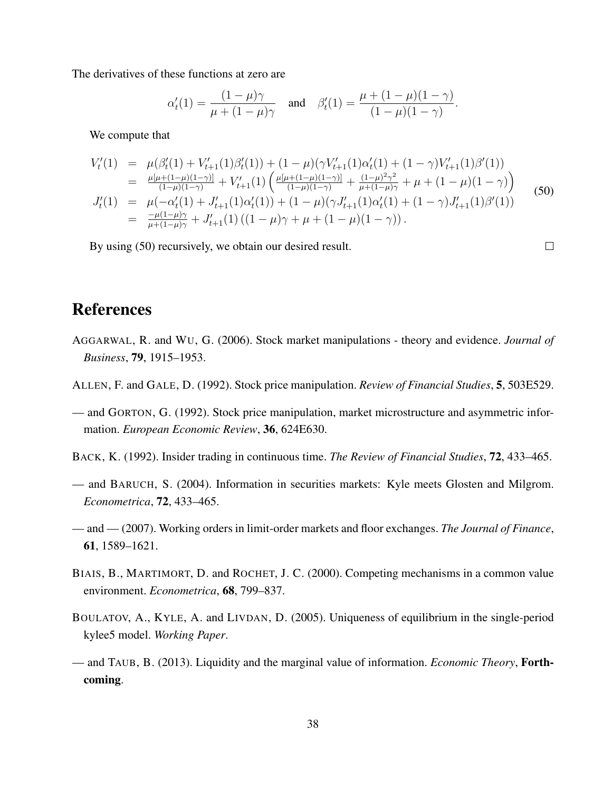The derivatives of these functions at zero are

$$
\alpha'_t(1) = \frac{(1-\mu)\gamma}{\mu + (1-\mu)\gamma}
$$
 and  $\beta'_t(1) = \frac{\mu + (1-\mu)(1-\gamma)}{(1-\mu)(1-\gamma)}$ .

We compute that

$$
V'_{t}(1) = \mu(\beta'_{t}(1) + V'_{t+1}(1)\beta'_{t}(1)) + (1 - \mu)(\gamma V'_{t+1}(1)\alpha'_{t}(1) + (1 - \gamma)V'_{t+1}(1)\beta'(1))
$$
  
\n
$$
= \frac{\mu[\mu + (1 - \mu)(1 - \gamma)]}{(1 - \mu)(1 - \gamma)} + V'_{t+1}(1) \left( \frac{\mu[\mu + (1 - \mu)(1 - \gamma)]}{(1 - \mu)(1 - \gamma)} + \frac{(1 - \mu)^{2}\gamma^{2}}{\mu + (1 - \mu)\gamma} + \mu + (1 - \mu)(1 - \gamma) \right)
$$
  
\n
$$
J'_{t}(1) = \mu(-\alpha'_{t}(1) + J'_{t+1}(1)\alpha'_{t}(1)) + (1 - \mu)(\gamma J'_{t+1}(1)\alpha'_{t}(1) + (1 - \gamma)J'_{t+1}(1)\beta'(1))
$$
  
\n
$$
= \frac{-\mu(1 - \mu)\gamma}{\mu + (1 - \mu)\gamma} + J'_{t+1}(1) ((1 - \mu)\gamma + \mu + (1 - \mu)(1 - \gamma)).
$$
 (50)

By using (50) recursively, we obtain our desired result.

 $\Box$ 

# References

- AGGARWAL, R. and WU, G. (2006). Stock market manipulations theory and evidence. *Journal of Business*, 79, 1915–1953.
- ALLEN, F. and GALE, D. (1992). Stock price manipulation. *Review of Financial Studies*, 5, 503E529.
- and GORTON, G. (1992). Stock price manipulation, market microstructure and asymmetric information. *European Economic Review*, 36, 624E630.
- BACK, K. (1992). Insider trading in continuous time. *The Review of Financial Studies*, 72, 433–465.
- and BARUCH, S. (2004). Information in securities markets: Kyle meets Glosten and Milgrom. *Econometrica*, 72, 433–465.
- and (2007). Working orders in limit-order markets and floor exchanges. *The Journal of Finance*, 61, 1589–1621.
- BIAIS, B., MARTIMORT, D. and ROCHET, J. C. (2000). Competing mechanisms in a common value environment. *Econometrica*, 68, 799–837.
- BOULATOV, A., KYLE, A. and LIVDAN, D. (2005). Uniqueness of equilibrium in the single-period kylee5 model. *Working Paper*.
- and TAUB, B. (2013). Liquidity and the marginal value of information. *Economic Theory*, Forthcoming.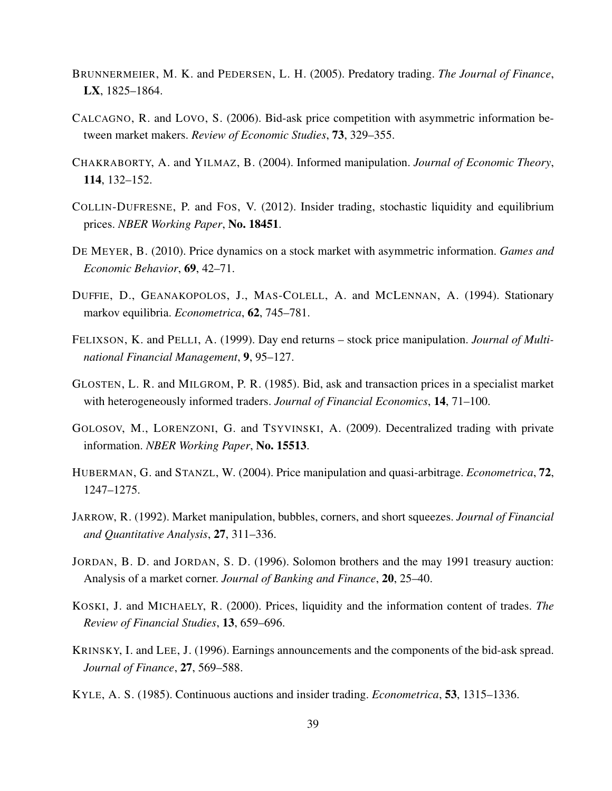- BRUNNERMEIER, M. K. and PEDERSEN, L. H. (2005). Predatory trading. *The Journal of Finance*, LX, 1825–1864.
- CALCAGNO, R. and LOVO, S. (2006). Bid-ask price competition with asymmetric information between market makers. *Review of Economic Studies*, 73, 329–355.
- CHAKRABORTY, A. and YILMAZ, B. (2004). Informed manipulation. *Journal of Economic Theory*, 114, 132–152.
- COLLIN-DUFRESNE, P. and FOS, V. (2012). Insider trading, stochastic liquidity and equilibrium prices. *NBER Working Paper*, No. 18451.
- DE MEYER, B. (2010). Price dynamics on a stock market with asymmetric information. *Games and Economic Behavior*, 69, 42–71.
- DUFFIE, D., GEANAKOPOLOS, J., MAS-COLELL, A. and MCLENNAN, A. (1994). Stationary markov equilibria. *Econometrica*, 62, 745–781.
- FELIXSON, K. and PELLI, A. (1999). Day end returns stock price manipulation. *Journal of Multinational Financial Management*, 9, 95–127.
- GLOSTEN, L. R. and MILGROM, P. R. (1985). Bid, ask and transaction prices in a specialist market with heterogeneously informed traders. *Journal of Financial Economics*, 14, 71–100.
- GOLOSOV, M., LORENZONI, G. and TSYVINSKI, A. (2009). Decentralized trading with private information. *NBER Working Paper*, No. 15513.
- HUBERMAN, G. and STANZL, W. (2004). Price manipulation and quasi-arbitrage. *Econometrica*, 72, 1247–1275.
- JARROW, R. (1992). Market manipulation, bubbles, corners, and short squeezes. *Journal of Financial and Quantitative Analysis*, 27, 311–336.
- JORDAN, B. D. and JORDAN, S. D. (1996). Solomon brothers and the may 1991 treasury auction: Analysis of a market corner. *Journal of Banking and Finance*, 20, 25–40.
- KOSKI, J. and MICHAELY, R. (2000). Prices, liquidity and the information content of trades. *The Review of Financial Studies*, 13, 659–696.
- KRINSKY, I. and LEE, J. (1996). Earnings announcements and the components of the bid-ask spread. *Journal of Finance*, 27, 569–588.
- KYLE, A. S. (1985). Continuous auctions and insider trading. *Econometrica*, 53, 1315–1336.